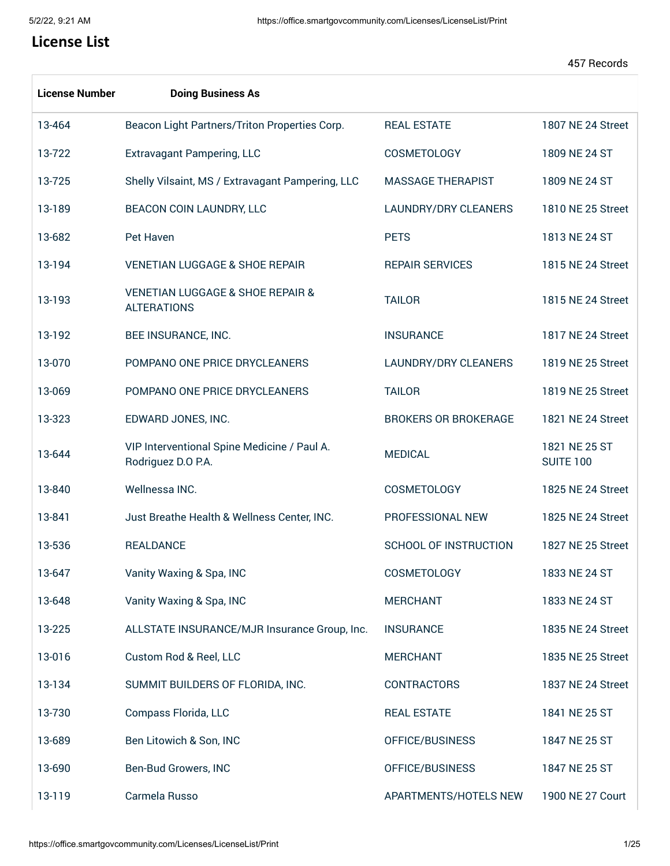ſ

## **License List**

| <b>License Number</b> | <b>Doing Business As</b>                                              |                              |                                   |
|-----------------------|-----------------------------------------------------------------------|------------------------------|-----------------------------------|
| 13-464                | Beacon Light Partners/Triton Properties Corp.                         | <b>REAL ESTATE</b>           | 1807 NE 24 Street                 |
| 13-722                | <b>Extravagant Pampering, LLC</b>                                     | COSMETOLOGY                  | 1809 NE 24 ST                     |
| 13-725                | Shelly Vilsaint, MS / Extravagant Pampering, LLC                      | <b>MASSAGE THERAPIST</b>     | 1809 NE 24 ST                     |
| 13-189                | BEACON COIN LAUNDRY, LLC                                              | <b>LAUNDRY/DRY CLEANERS</b>  | 1810 NE 25 Street                 |
| 13-682                | Pet Haven                                                             | <b>PETS</b>                  | 1813 NE 24 ST                     |
| 13-194                | <b>VENETIAN LUGGAGE &amp; SHOE REPAIR</b>                             | <b>REPAIR SERVICES</b>       | 1815 NE 24 Street                 |
| 13-193                | <b>VENETIAN LUGGAGE &amp; SHOE REPAIR &amp;</b><br><b>ALTERATIONS</b> | <b>TAILOR</b>                | 1815 NE 24 Street                 |
| 13-192                | BEE INSURANCE, INC.                                                   | <b>INSURANCE</b>             | 1817 NE 24 Street                 |
| 13-070                | POMPANO ONE PRICE DRYCLEANERS                                         | <b>LAUNDRY/DRY CLEANERS</b>  | 1819 NE 25 Street                 |
| 13-069                | POMPANO ONE PRICE DRYCLEANERS                                         | <b>TAILOR</b>                | 1819 NE 25 Street                 |
| 13-323                | EDWARD JONES, INC.                                                    | <b>BROKERS OR BROKERAGE</b>  | 1821 NE 24 Street                 |
| 13-644                | VIP Interventional Spine Medicine / Paul A.<br>Rodriguez D.O P.A.     | <b>MEDICAL</b>               | 1821 NE 25 ST<br><b>SUITE 100</b> |
| 13-840                | Wellnessa INC.                                                        | <b>COSMETOLOGY</b>           | 1825 NE 24 Street                 |
| 13-841                | Just Breathe Health & Wellness Center, INC.                           | PROFESSIONAL NEW             | 1825 NE 24 Street                 |
| 13-536                | <b>REALDANCE</b>                                                      | <b>SCHOOL OF INSTRUCTION</b> | 1827 NE 25 Street                 |
| 13-647                | Vanity Waxing & Spa, INC                                              | <b>COSMETOLOGY</b>           | 1833 NE 24 ST                     |
| 13-648                | Vanity Waxing & Spa, INC                                              | <b>MERCHANT</b>              | 1833 NE 24 ST                     |
| 13-225                | ALLSTATE INSURANCE/MJR Insurance Group, Inc.                          | <b>INSURANCE</b>             | 1835 NE 24 Street                 |
| 13-016                | Custom Rod & Reel, LLC                                                | <b>MERCHANT</b>              | 1835 NE 25 Street                 |
| 13-134                | SUMMIT BUILDERS OF FLORIDA, INC.                                      | <b>CONTRACTORS</b>           | 1837 NE 24 Street                 |
| 13-730                | Compass Florida, LLC                                                  | <b>REAL ESTATE</b>           | 1841 NE 25 ST                     |
| 13-689                | Ben Litowich & Son, INC                                               | OFFICE/BUSINESS              | 1847 NE 25 ST                     |
| 13-690                | Ben-Bud Growers, INC                                                  | OFFICE/BUSINESS              | 1847 NE 25 ST                     |
| 13-119                | Carmela Russo                                                         | APARTMENTS/HOTELS NEW        | 1900 NE 27 Court                  |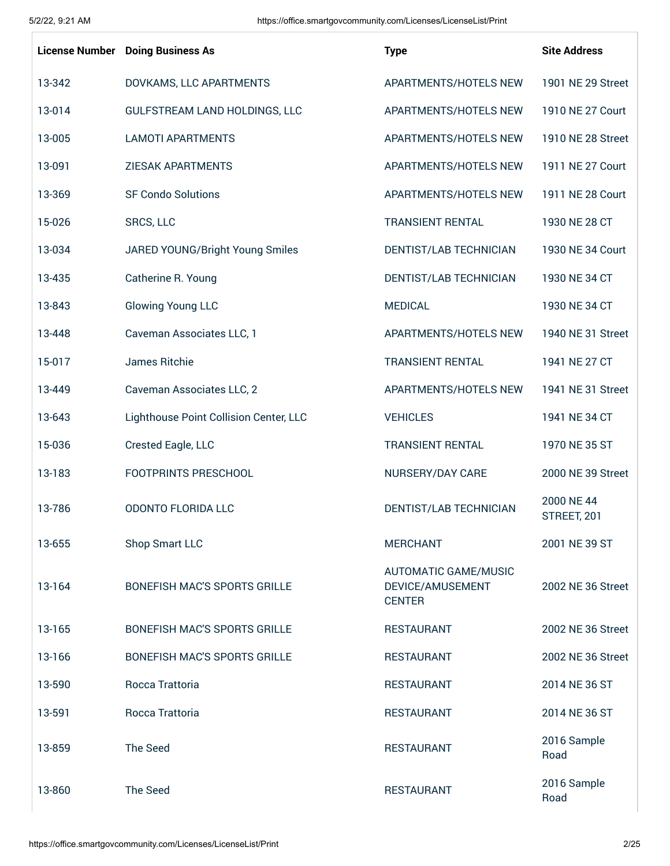|        | <b>License Number</b> Doing Business As | <b>Type</b>                                                      | <b>Site Address</b>       |
|--------|-----------------------------------------|------------------------------------------------------------------|---------------------------|
| 13-342 | DOVKAMS, LLC APARTMENTS                 | APARTMENTS/HOTELS NEW                                            | 1901 NE 29 Street         |
| 13-014 | GULFSTREAM LAND HOLDINGS, LLC           | APARTMENTS/HOTELS NEW                                            | 1910 NE 27 Court          |
| 13-005 | <b>LAMOTI APARTMENTS</b>                | APARTMENTS/HOTELS NEW                                            | 1910 NE 28 Street         |
| 13-091 | <b>ZIESAK APARTMENTS</b>                | APARTMENTS/HOTELS NEW                                            | 1911 NE 27 Court          |
| 13-369 | <b>SF Condo Solutions</b>               | APARTMENTS/HOTELS NEW                                            | 1911 NE 28 Court          |
| 15-026 | <b>SRCS, LLC</b>                        | <b>TRANSIENT RENTAL</b>                                          | 1930 NE 28 CT             |
| 13-034 | JARED YOUNG/Bright Young Smiles         | DENTIST/LAB TECHNICIAN                                           | 1930 NE 34 Court          |
| 13-435 | Catherine R. Young                      | DENTIST/LAB TECHNICIAN                                           | 1930 NE 34 CT             |
| 13-843 | <b>Glowing Young LLC</b>                | <b>MEDICAL</b>                                                   | 1930 NE 34 CT             |
| 13-448 | Caveman Associates LLC, 1               | APARTMENTS/HOTELS NEW                                            | 1940 NE 31 Street         |
| 15-017 | James Ritchie                           | <b>TRANSIENT RENTAL</b>                                          | 1941 NE 27 CT             |
| 13-449 | Caveman Associates LLC, 2               | APARTMENTS/HOTELS NEW                                            | 1941 NE 31 Street         |
| 13-643 | Lighthouse Point Collision Center, LLC  | <b>VEHICLES</b>                                                  | 1941 NE 34 CT             |
| 15-036 | Crested Eagle, LLC                      | <b>TRANSIENT RENTAL</b>                                          | 1970 NE 35 ST             |
| 13-183 | FOOTPRINTS PRESCHOOL                    | NURSERY/DAY CARE                                                 | 2000 NE 39 Street         |
| 13-786 | <b>ODONTO FLORIDA LLC</b>               | DENTIST/LAB TECHNICIAN                                           | 2000 NE 44<br>STREET, 201 |
| 13-655 | Shop Smart LLC                          | <b>MERCHANT</b>                                                  | 2001 NE 39 ST             |
| 13-164 | <b>BONEFISH MAC'S SPORTS GRILLE</b>     | <b>AUTOMATIC GAME/MUSIC</b><br>DEVICE/AMUSEMENT<br><b>CENTER</b> | 2002 NE 36 Street         |
| 13-165 | BONEFISH MAC'S SPORTS GRILLE            | <b>RESTAURANT</b>                                                | 2002 NE 36 Street         |
| 13-166 | <b>BONEFISH MAC'S SPORTS GRILLE</b>     | <b>RESTAURANT</b>                                                | 2002 NE 36 Street         |
| 13-590 | Rocca Trattoria                         | <b>RESTAURANT</b>                                                | 2014 NE 36 ST             |
| 13-591 | Rocca Trattoria                         | <b>RESTAURANT</b>                                                | 2014 NE 36 ST             |
| 13-859 | The Seed                                | <b>RESTAURANT</b>                                                | 2016 Sample<br>Road       |
| 13-860 | The Seed                                | <b>RESTAURANT</b>                                                | 2016 Sample<br>Road       |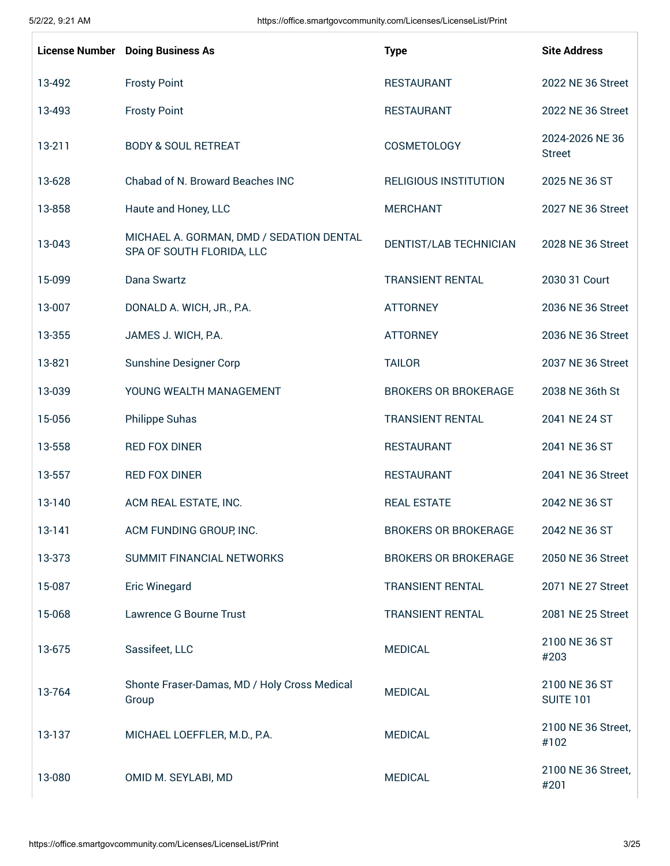| <b>License Number</b> | <b>Doing Business As</b>                                              | <b>Type</b>                  | <b>Site Address</b>               |
|-----------------------|-----------------------------------------------------------------------|------------------------------|-----------------------------------|
| 13-492                | <b>Frosty Point</b>                                                   | <b>RESTAURANT</b>            | 2022 NE 36 Street                 |
| 13-493                | <b>Frosty Point</b>                                                   | <b>RESTAURANT</b>            | 2022 NE 36 Street                 |
| 13-211                | <b>BODY &amp; SOUL RETREAT</b>                                        | COSMETOLOGY                  | 2024-2026 NE 36<br><b>Street</b>  |
| 13-628                | Chabad of N. Broward Beaches INC                                      | <b>RELIGIOUS INSTITUTION</b> | 2025 NE 36 ST                     |
| 13-858                | Haute and Honey, LLC                                                  | <b>MERCHANT</b>              | 2027 NE 36 Street                 |
| 13-043                | MICHAEL A. GORMAN, DMD / SEDATION DENTAL<br>SPA OF SOUTH FLORIDA, LLC | DENTIST/LAB TECHNICIAN       | 2028 NE 36 Street                 |
| 15-099                | Dana Swartz                                                           | <b>TRANSIENT RENTAL</b>      | 2030 31 Court                     |
| 13-007                | DONALD A. WICH, JR., P.A.                                             | <b>ATTORNEY</b>              | 2036 NE 36 Street                 |
| 13-355                | JAMES J. WICH, P.A.                                                   | <b>ATTORNEY</b>              | 2036 NE 36 Street                 |
| 13-821                | <b>Sunshine Designer Corp</b>                                         | <b>TAILOR</b>                | 2037 NE 36 Street                 |
| 13-039                | YOUNG WEALTH MANAGEMENT                                               | <b>BROKERS OR BROKERAGE</b>  | 2038 NE 36th St                   |
| 15-056                | <b>Philippe Suhas</b>                                                 | <b>TRANSIENT RENTAL</b>      | 2041 NE 24 ST                     |
| 13-558                | <b>RED FOX DINER</b>                                                  | <b>RESTAURANT</b>            | 2041 NE 36 ST                     |
| 13-557                | <b>RED FOX DINER</b>                                                  | <b>RESTAURANT</b>            | 2041 NE 36 Street                 |
| 13-140                | ACM REAL ESTATE, INC.                                                 | <b>REAL ESTATE</b>           | 2042 NE 36 ST                     |
| 13-141                | ACM FUNDING GROUP, INC.                                               | <b>BROKERS OR BROKERAGE</b>  | 2042 NE 36 ST                     |
| 13-373                | SUMMIT FINANCIAL NETWORKS                                             | <b>BROKERS OR BROKERAGE</b>  | 2050 NE 36 Street                 |
| 15-087                | <b>Eric Winegard</b>                                                  | <b>TRANSIENT RENTAL</b>      | 2071 NE 27 Street                 |
| 15-068                | Lawrence G Bourne Trust                                               | <b>TRANSIENT RENTAL</b>      | 2081 NE 25 Street                 |
| 13-675                | Sassifeet, LLC                                                        | <b>MEDICAL</b>               | 2100 NE 36 ST<br>#203             |
| 13-764                | Shonte Fraser-Damas, MD / Holy Cross Medical<br>Group                 | <b>MEDICAL</b>               | 2100 NE 36 ST<br><b>SUITE 101</b> |
| 13-137                | MICHAEL LOEFFLER, M.D., P.A.                                          | <b>MEDICAL</b>               | 2100 NE 36 Street,<br>#102        |
| 13-080                | OMID M. SEYLABI, MD                                                   | <b>MEDICAL</b>               | 2100 NE 36 Street,<br>#201        |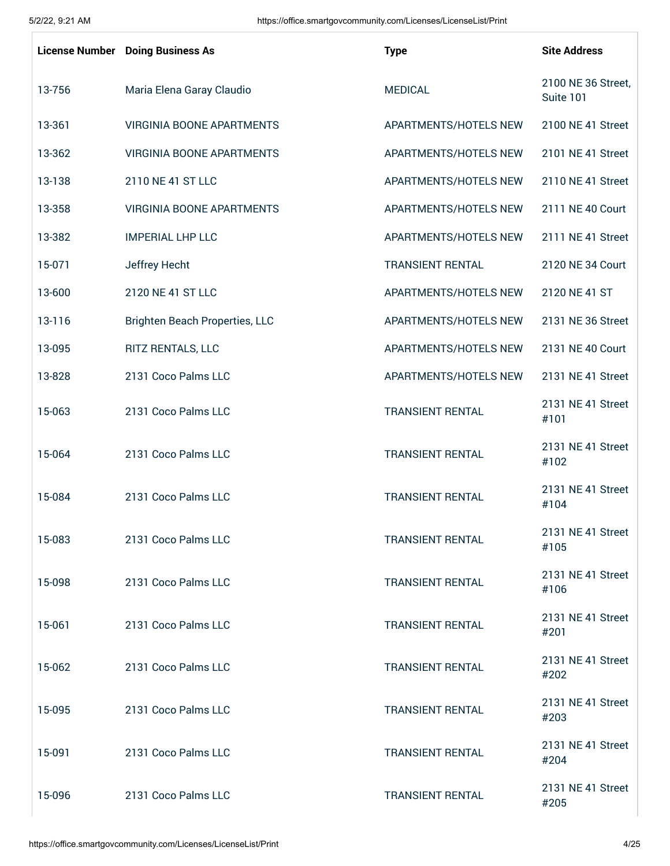|        | <b>License Number</b> Doing Business As | <b>Type</b>             | <b>Site Address</b>             |
|--------|-----------------------------------------|-------------------------|---------------------------------|
| 13-756 | Maria Elena Garay Claudio               | <b>MEDICAL</b>          | 2100 NE 36 Street,<br>Suite 101 |
| 13-361 | <b>VIRGINIA BOONE APARTMENTS</b>        | APARTMENTS/HOTELS NEW   | 2100 NE 41 Street               |
| 13-362 | <b>VIRGINIA BOONE APARTMENTS</b>        | APARTMENTS/HOTELS NEW   | 2101 NE 41 Street               |
| 13-138 | 2110 NE 41 ST LLC                       | APARTMENTS/HOTELS NEW   | 2110 NE 41 Street               |
| 13-358 | <b>VIRGINIA BOONE APARTMENTS</b>        | APARTMENTS/HOTELS NEW   | 2111 NE 40 Court                |
| 13-382 | <b>IMPERIAL LHP LLC</b>                 | APARTMENTS/HOTELS NEW   | 2111 NE 41 Street               |
| 15-071 | Jeffrey Hecht                           | <b>TRANSIENT RENTAL</b> | 2120 NE 34 Court                |
| 13-600 | 2120 NE 41 ST LLC                       | APARTMENTS/HOTELS NEW   | 2120 NE 41 ST                   |
| 13-116 | <b>Brighten Beach Properties, LLC</b>   | APARTMENTS/HOTELS NEW   | 2131 NE 36 Street               |
| 13-095 | RITZ RENTALS, LLC                       | APARTMENTS/HOTELS NEW   | 2131 NE 40 Court                |
| 13-828 | 2131 Coco Palms LLC                     | APARTMENTS/HOTELS NEW   | 2131 NE 41 Street               |
| 15-063 | 2131 Coco Palms LLC                     | <b>TRANSIENT RENTAL</b> | 2131 NE 41 Street<br>#101       |
| 15-064 | 2131 Coco Palms LLC                     | <b>TRANSIENT RENTAL</b> | 2131 NE 41 Street<br>#102       |
| 15-084 | 2131 Coco Palms LLC                     | <b>TRANSIENT RENTAL</b> | 2131 NE 41 Street<br>#104       |
| 15-083 | 2131 Coco Palms LLC                     | <b>TRANSIENT RENTAL</b> | 2131 NE 41 Street<br>#105       |
| 15-098 | 2131 Coco Palms LLC                     | <b>TRANSIENT RENTAL</b> | 2131 NE 41 Street<br>#106       |
| 15-061 | 2131 Coco Palms LLC                     | <b>TRANSIENT RENTAL</b> | 2131 NE 41 Street<br>#201       |
| 15-062 | 2131 Coco Palms LLC                     | <b>TRANSIENT RENTAL</b> | 2131 NE 41 Street<br>#202       |
| 15-095 | 2131 Coco Palms LLC                     | <b>TRANSIENT RENTAL</b> | 2131 NE 41 Street<br>#203       |
| 15-091 | 2131 Coco Palms LLC                     | <b>TRANSIENT RENTAL</b> | 2131 NE 41 Street<br>#204       |
| 15-096 | 2131 Coco Palms LLC                     | <b>TRANSIENT RENTAL</b> | 2131 NE 41 Street<br>#205       |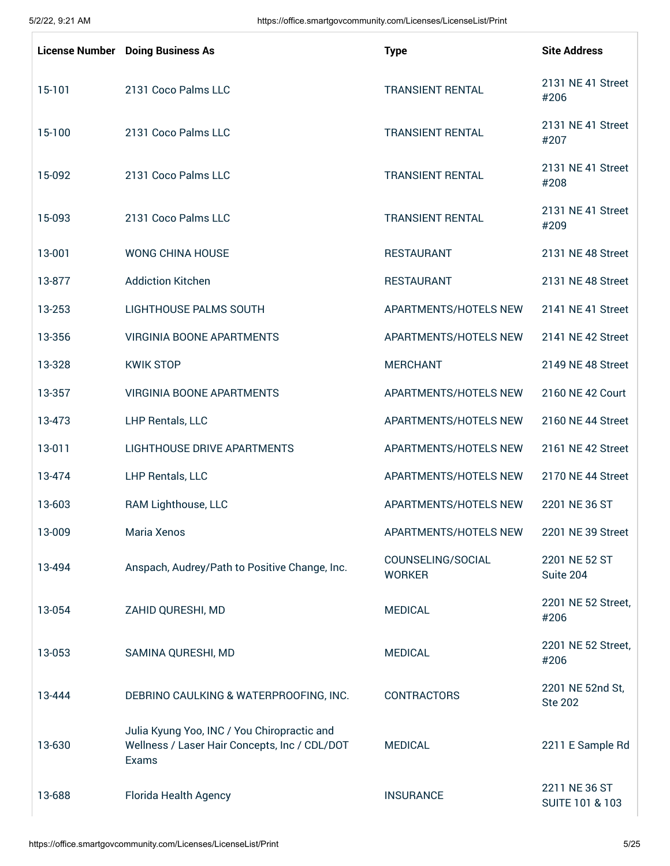|        | <b>License Number</b> Doing Business As                                                               | <b>Type</b>                        | <b>Site Address</b>                |
|--------|-------------------------------------------------------------------------------------------------------|------------------------------------|------------------------------------|
| 15-101 | 2131 Coco Palms LLC                                                                                   | <b>TRANSIENT RENTAL</b>            | 2131 NE 41 Street<br>#206          |
| 15-100 | 2131 Coco Palms LLC                                                                                   | <b>TRANSIENT RENTAL</b>            | 2131 NE 41 Street<br>#207          |
| 15-092 | 2131 Coco Palms LLC                                                                                   | <b>TRANSIENT RENTAL</b>            | 2131 NE 41 Street<br>#208          |
| 15-093 | 2131 Coco Palms LLC                                                                                   | <b>TRANSIENT RENTAL</b>            | 2131 NE 41 Street<br>#209          |
| 13-001 | <b>WONG CHINA HOUSE</b>                                                                               | <b>RESTAURANT</b>                  | 2131 NE 48 Street                  |
| 13-877 | <b>Addiction Kitchen</b>                                                                              | <b>RESTAURANT</b>                  | 2131 NE 48 Street                  |
| 13-253 | LIGHTHOUSE PALMS SOUTH                                                                                | APARTMENTS/HOTELS NEW              | 2141 NE 41 Street                  |
| 13-356 | <b>VIRGINIA BOONE APARTMENTS</b>                                                                      | APARTMENTS/HOTELS NEW              | 2141 NE 42 Street                  |
| 13-328 | <b>KWIK STOP</b>                                                                                      | <b>MERCHANT</b>                    | 2149 NE 48 Street                  |
| 13-357 | <b>VIRGINIA BOONE APARTMENTS</b>                                                                      | APARTMENTS/HOTELS NEW              | 2160 NE 42 Court                   |
| 13-473 | LHP Rentals, LLC                                                                                      | APARTMENTS/HOTELS NEW              | 2160 NE 44 Street                  |
| 13-011 | <b>LIGHTHOUSE DRIVE APARTMENTS</b>                                                                    | APARTMENTS/HOTELS NEW              | 2161 NE 42 Street                  |
| 13-474 | LHP Rentals, LLC                                                                                      | APARTMENTS/HOTELS NEW              | 2170 NE 44 Street                  |
| 13-603 | RAM Lighthouse, LLC                                                                                   | APARTMENTS/HOTELS NEW              | 2201 NE 36 ST                      |
| 13-009 | Maria Xenos                                                                                           | APARTMENTS/HOTELS NEW              | 2201 NE 39 Street                  |
| 13-494 | Anspach, Audrey/Path to Positive Change, Inc.                                                         | COUNSELING/SOCIAL<br><b>WORKER</b> | 2201 NE 52 ST<br>Suite 204         |
| 13-054 | ZAHID QURESHI, MD                                                                                     | <b>MEDICAL</b>                     | 2201 NE 52 Street,<br>#206         |
| 13-053 | SAMINA QURESHI, MD                                                                                    | <b>MEDICAL</b>                     | 2201 NE 52 Street,<br>#206         |
| 13-444 | DEBRINO CAULKING & WATERPROOFING, INC.                                                                | <b>CONTRACTORS</b>                 | 2201 NE 52nd St,<br><b>Ste 202</b> |
| 13-630 | Julia Kyung Yoo, INC / You Chiropractic and<br>Wellness / Laser Hair Concepts, Inc / CDL/DOT<br>Exams | <b>MEDICAL</b>                     | 2211 E Sample Rd                   |
| 13-688 | Florida Health Agency                                                                                 | <b>INSURANCE</b>                   | 2211 NE 36 ST<br>SUITE 101 & 103   |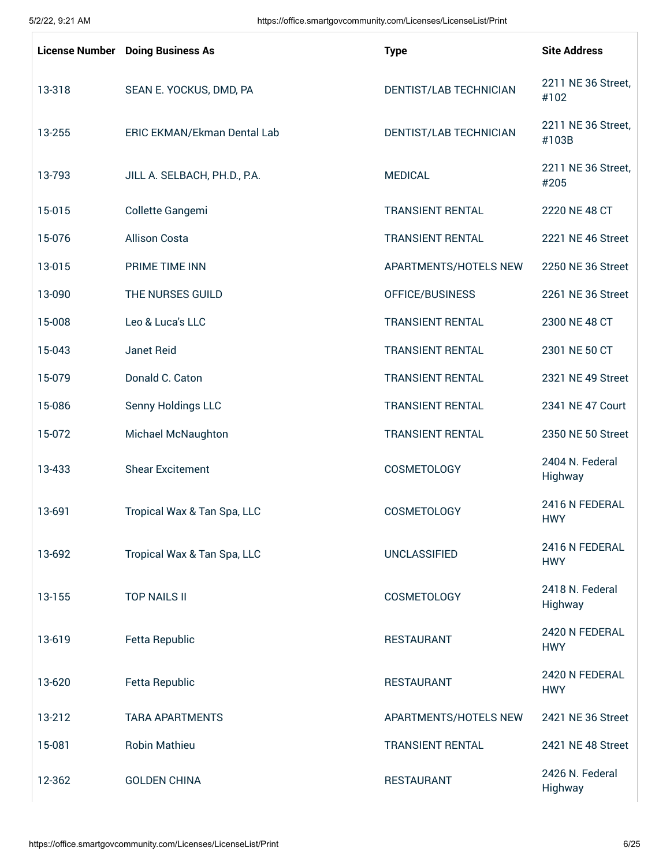|        | <b>License Number</b> Doing Business As | <b>Type</b>             | <b>Site Address</b>          |
|--------|-----------------------------------------|-------------------------|------------------------------|
| 13-318 | SEAN E. YOCKUS, DMD, PA                 | DENTIST/LAB TECHNICIAN  | 2211 NE 36 Street,<br>#102   |
| 13-255 | ERIC EKMAN/Ekman Dental Lab             | DENTIST/LAB TECHNICIAN  | 2211 NE 36 Street,<br>#103B  |
| 13-793 | JILL A. SELBACH, PH.D., P.A.            | <b>MEDICAL</b>          | 2211 NE 36 Street,<br>#205   |
| 15-015 | Collette Gangemi                        | <b>TRANSIENT RENTAL</b> | 2220 NE 48 CT                |
| 15-076 | <b>Allison Costa</b>                    | <b>TRANSIENT RENTAL</b> | 2221 NE 46 Street            |
| 13-015 | PRIME TIME INN                          | APARTMENTS/HOTELS NEW   | 2250 NE 36 Street            |
| 13-090 | THE NURSES GUILD                        | OFFICE/BUSINESS         | 2261 NE 36 Street            |
| 15-008 | Leo & Luca's LLC                        | <b>TRANSIENT RENTAL</b> | 2300 NE 48 CT                |
| 15-043 | Janet Reid                              | <b>TRANSIENT RENTAL</b> | 2301 NE 50 CT                |
| 15-079 | Donald C. Caton                         | <b>TRANSIENT RENTAL</b> | 2321 NE 49 Street            |
| 15-086 | Senny Holdings LLC                      | <b>TRANSIENT RENTAL</b> | 2341 NE 47 Court             |
| 15-072 | Michael McNaughton                      | <b>TRANSIENT RENTAL</b> | 2350 NE 50 Street            |
| 13-433 | <b>Shear Excitement</b>                 | <b>COSMETOLOGY</b>      | 2404 N. Federal<br>Highway   |
| 13-691 | Tropical Wax & Tan Spa, LLC             | <b>COSMETOLOGY</b>      | 2416 N FEDERAL<br><b>HWY</b> |
| 13-692 | Tropical Wax & Tan Spa, LLC             | <b>UNCLASSIFIED</b>     | 2416 N FFDFRAI<br><b>HWY</b> |
| 13-155 | <b>TOP NAILS II</b>                     | <b>COSMETOLOGY</b>      | 2418 N. Federal<br>Highway   |
| 13-619 | <b>Fetta Republic</b>                   | <b>RESTAURANT</b>       | 2420 N FEDERAL<br><b>HWY</b> |
| 13-620 | <b>Fetta Republic</b>                   | <b>RESTAURANT</b>       | 2420 N FEDERAL<br><b>HWY</b> |
| 13-212 | <b>TARA APARTMENTS</b>                  | APARTMENTS/HOTELS NEW   | 2421 NE 36 Street            |
| 15-081 | <b>Robin Mathieu</b>                    | <b>TRANSIENT RENTAL</b> | 2421 NE 48 Street            |
| 12-362 | <b>GOLDEN CHINA</b>                     | <b>RESTAURANT</b>       | 2426 N. Federal<br>Highway   |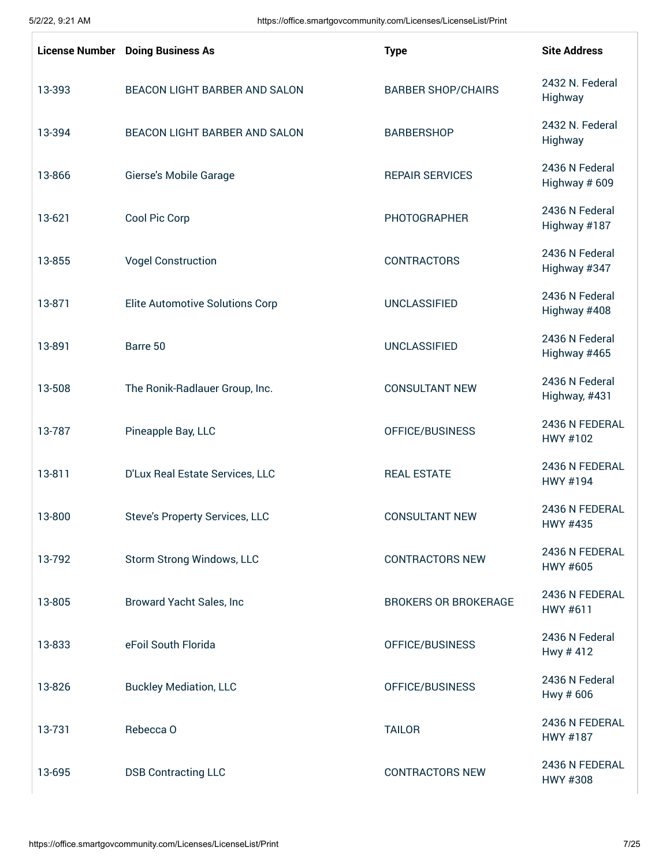|        | <b>License Number</b> Doing Business As | <b>Type</b>                 | <b>Site Address</b>             |
|--------|-----------------------------------------|-----------------------------|---------------------------------|
| 13-393 | BEACON LIGHT BARBER AND SALON           | <b>BARBER SHOP/CHAIRS</b>   | 2432 N. Federal<br>Highway      |
| 13-394 | BEACON LIGHT BARBER AND SALON           | <b>BARBERSHOP</b>           | 2432 N. Federal<br>Highway      |
| 13-866 | Gierse's Mobile Garage                  | <b>REPAIR SERVICES</b>      | 2436 N Federal<br>Highway # 609 |
| 13-621 | Cool Pic Corp                           | <b>PHOTOGRAPHER</b>         | 2436 N Federal<br>Highway #187  |
| 13-855 | <b>Vogel Construction</b>               | <b>CONTRACTORS</b>          | 2436 N Federal<br>Highway #347  |
| 13-871 | <b>Elite Automotive Solutions Corp</b>  | <b>UNCLASSIFIED</b>         | 2436 N Federal<br>Highway #408  |
| 13-891 | Barre 50                                | <b>UNCLASSIFIED</b>         | 2436 N Federal<br>Highway #465  |
| 13-508 | The Ronik-Radlauer Group, Inc.          | <b>CONSULTANT NEW</b>       | 2436 N Federal<br>Highway, #431 |
| 13-787 | Pineapple Bay, LLC                      | OFFICE/BUSINESS             | 2436 N FEDERAL<br>HWY #102      |
| 13-811 | D'Lux Real Estate Services, LLC         | <b>REAL ESTATE</b>          | 2436 N FEDERAL<br>HWY #194      |
| 13-800 | <b>Steve's Property Services, LLC</b>   | <b>CONSULTANT NEW</b>       | 2436 N FEDERAL<br>HWY #435      |
| 13-792 | Storm Strong Windows, LLC               | <b>CONTRACTORS NEW</b>      | 2436 N FEDERAL<br>HWY #605      |
| 13-805 | Broward Yacht Sales, Inc                | <b>BROKERS OR BROKERAGE</b> | 2436 N FEDERAL<br>HWY #611      |
| 13-833 | eFoil South Florida                     | OFFICE/BUSINESS             | 2436 N Federal<br>Hwy #412      |
| 13-826 | <b>Buckley Mediation, LLC</b>           | OFFICE/BUSINESS             | 2436 N Federal<br>Hwy # 606     |
| 13-731 | Rebecca O                               | <b>TAILOR</b>               | 2436 N FEDERAL<br>HWY #187      |
| 13-695 | <b>DSB Contracting LLC</b>              | <b>CONTRACTORS NEW</b>      | 2436 N FEDERAL<br>HWY #308      |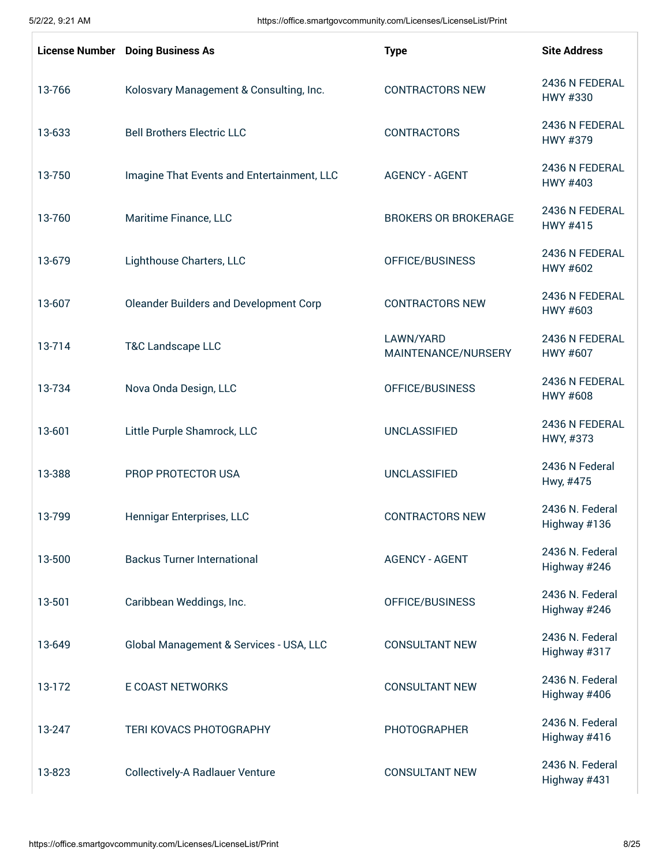|        | <b>License Number</b> Doing Business As    | <b>Type</b>                      | <b>Site Address</b>             |
|--------|--------------------------------------------|----------------------------------|---------------------------------|
| 13-766 | Kolosvary Management & Consulting, Inc.    | <b>CONTRACTORS NEW</b>           | 2436 N FEDERAL<br>HWY #330      |
| 13-633 | <b>Bell Brothers Electric LLC</b>          | <b>CONTRACTORS</b>               | 2436 N FEDERAL<br>HWY #379      |
| 13-750 | Imagine That Events and Entertainment, LLC | <b>AGENCY - AGENT</b>            | 2436 N FEDERAL<br>HWY #403      |
| 13-760 | Maritime Finance, LLC                      | <b>BROKERS OR BROKERAGE</b>      | 2436 N FEDERAL<br>HWY #415      |
| 13-679 | Lighthouse Charters, LLC                   | OFFICE/BUSINESS                  | 2436 N FEDERAL<br>HWY #602      |
| 13-607 | Oleander Builders and Development Corp     | <b>CONTRACTORS NEW</b>           | 2436 N FEDERAL<br>HWY #603      |
| 13-714 | <b>T&amp;C Landscape LLC</b>               | LAWN/YARD<br>MAINTENANCE/NURSERY | 2436 N FEDERAL<br>HWY #607      |
| 13-734 | Nova Onda Design, LLC                      | OFFICE/BUSINESS                  | 2436 N FEDERAL<br>HWY #608      |
| 13-601 | Little Purple Shamrock, LLC                | <b>UNCLASSIFIED</b>              | 2436 N FEDERAL<br>HWY, #373     |
| 13-388 | PROP PROTECTOR USA                         | <b>UNCLASSIFIED</b>              | 2436 N Federal<br>Hwy, #475     |
| 13-799 | Hennigar Enterprises, LLC                  | <b>CONTRACTORS NEW</b>           | 2436 N. Federal<br>Highway #136 |
| 13-500 | <b>Backus Turner International</b>         | <b>AGENCY - AGENT</b>            | 2436 N. Federal<br>Highway #246 |
| 13-501 | Caribbean Weddings, Inc.                   | OFFICE/BUSINESS                  | 2436 N. Federal<br>Highway #246 |
| 13-649 | Global Management & Services - USA, LLC    | <b>CONSULTANT NEW</b>            | 2436 N. Federal<br>Highway #317 |
| 13-172 | <b>E COAST NETWORKS</b>                    | <b>CONSULTANT NEW</b>            | 2436 N. Federal<br>Highway #406 |
| 13-247 | TERI KOVACS PHOTOGRAPHY                    | <b>PHOTOGRAPHER</b>              | 2436 N. Federal<br>Highway #416 |
| 13-823 | <b>Collectively-A Radlauer Venture</b>     | <b>CONSULTANT NEW</b>            | 2436 N. Federal<br>Highway #431 |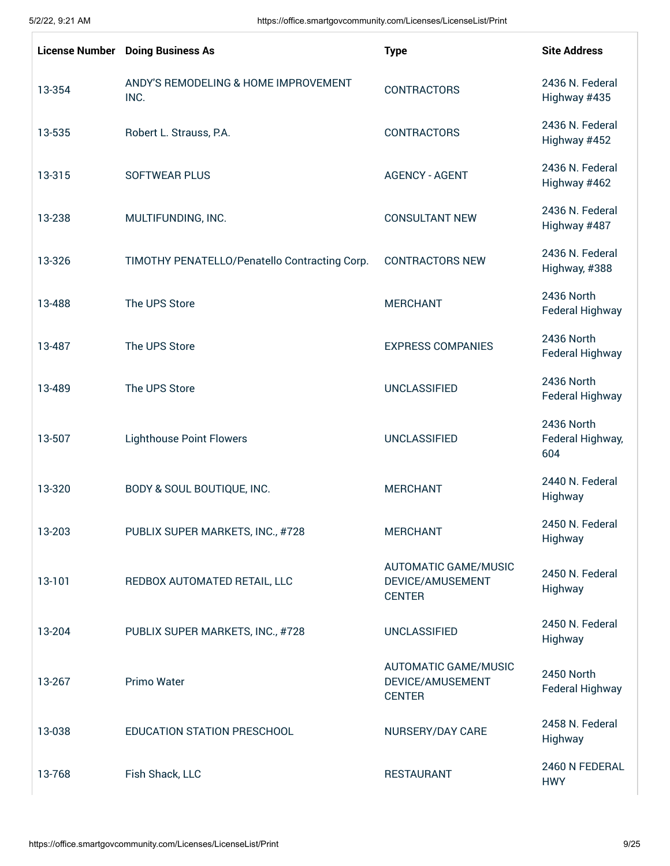|        | <b>License Number</b> Doing Business As       | <b>Type</b>                                                      | <b>Site Address</b>                   |
|--------|-----------------------------------------------|------------------------------------------------------------------|---------------------------------------|
| 13-354 | ANDY'S REMODELING & HOME IMPROVEMENT<br>INC.  | <b>CONTRACTORS</b>                                               | 2436 N. Federal<br>Highway #435       |
| 13-535 | Robert L. Strauss, P.A.                       | <b>CONTRACTORS</b>                                               | 2436 N. Federal<br>Highway #452       |
| 13-315 | <b>SOFTWEAR PLUS</b>                          | <b>AGENCY - AGENT</b>                                            | 2436 N. Federal<br>Highway #462       |
| 13-238 | MULTIFUNDING, INC.                            | <b>CONSULTANT NEW</b>                                            | 2436 N. Federal<br>Highway #487       |
| 13-326 | TIMOTHY PENATELLO/Penatello Contracting Corp. | <b>CONTRACTORS NEW</b>                                           | 2436 N. Federal<br>Highway, #388      |
| 13-488 | The UPS Store                                 | <b>MERCHANT</b>                                                  | 2436 North<br>Federal Highway         |
| 13-487 | The UPS Store                                 | <b>EXPRESS COMPANIES</b>                                         | 2436 North<br>Federal Highway         |
| 13-489 | The UPS Store                                 | <b>UNCLASSIFIED</b>                                              | 2436 North<br>Federal Highway         |
| 13-507 | <b>Lighthouse Point Flowers</b>               | <b>UNCLASSIFIED</b>                                              | 2436 North<br>Federal Highway,<br>604 |
| 13-320 | BODY & SOUL BOUTIQUE, INC.                    | <b>MERCHANT</b>                                                  | 2440 N. Federal<br>Highway            |
| 13-203 | PUBLIX SUPER MARKETS, INC., #728              | <b>MERCHANT</b>                                                  | 2450 N. Federal<br>Highway            |
| 13-101 | REDBOX AUTOMATED RETAIL, LLC                  | <b>AUTOMATIC GAME/MUSIC</b><br>DEVICE/AMUSEMENT<br><b>CENTER</b> | 2450 N. Federal<br>Highway            |
| 13-204 | PUBLIX SUPER MARKETS, INC., #728              | <b>UNCLASSIFIED</b>                                              | 2450 N. Federal<br>Highway            |
| 13-267 | Primo Water                                   | <b>AUTOMATIC GAME/MUSIC</b><br>DEVICE/AMUSEMENT<br><b>CENTER</b> | 2450 North<br>Federal Highway         |
| 13-038 | EDUCATION STATION PRESCHOOL                   | NURSERY/DAY CARE                                                 | 2458 N. Federal<br>Highway            |
| 13-768 | Fish Shack, LLC                               | <b>RESTAURANT</b>                                                | 2460 N FEDERAL<br><b>HWY</b>          |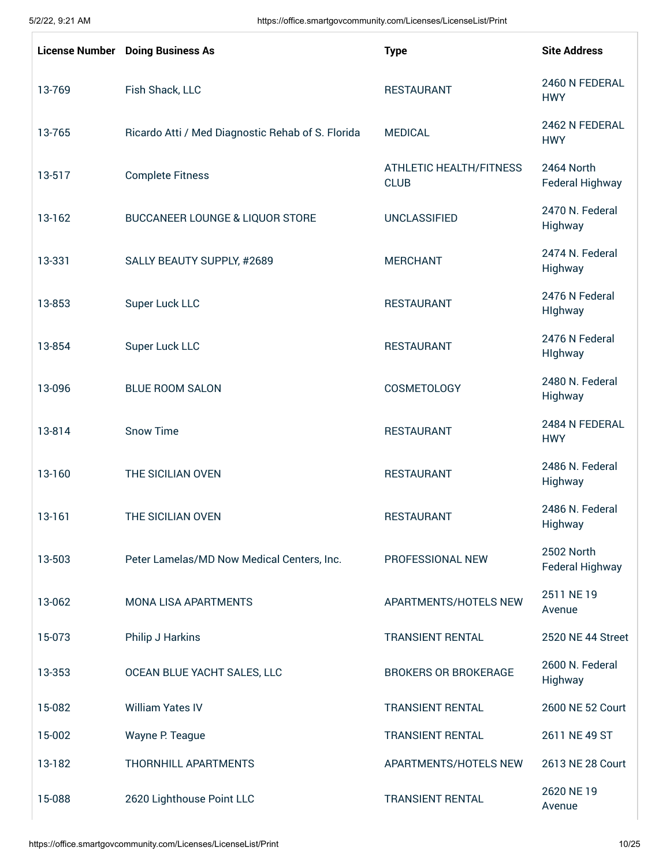|        | <b>License Number</b> Doing Business As           | <b>Type</b>                                   | <b>Site Address</b>           |
|--------|---------------------------------------------------|-----------------------------------------------|-------------------------------|
| 13-769 | Fish Shack, LLC                                   | <b>RESTAURANT</b>                             | 2460 N FEDERAL<br><b>HWY</b>  |
| 13-765 | Ricardo Atti / Med Diagnostic Rehab of S. Florida | <b>MEDICAL</b>                                | 2462 N FEDERAL<br><b>HWY</b>  |
| 13-517 | <b>Complete Fitness</b>                           | <b>ATHLETIC HEALTH/FITNESS</b><br><b>CLUB</b> | 2464 North<br>Federal Highway |
| 13-162 | <b>BUCCANEER LOUNGE &amp; LIQUOR STORE</b>        | <b>UNCLASSIFIED</b>                           | 2470 N. Federal<br>Highway    |
| 13-331 | SALLY BEAUTY SUPPLY, #2689                        | <b>MERCHANT</b>                               | 2474 N. Federal<br>Highway    |
| 13-853 | Super Luck LLC                                    | <b>RESTAURANT</b>                             | 2476 N Federal<br>Highway     |
| 13-854 | Super Luck LLC                                    | <b>RESTAURANT</b>                             | 2476 N Federal<br>Highway     |
| 13-096 | <b>BLUE ROOM SALON</b>                            | COSMETOLOGY                                   | 2480 N. Federal<br>Highway    |
| 13-814 | <b>Snow Time</b>                                  | <b>RESTAURANT</b>                             | 2484 N FEDERAL<br><b>HWY</b>  |
| 13-160 | THE SICILIAN OVEN                                 | <b>RESTAURANT</b>                             | 2486 N. Federal<br>Highway    |
| 13-161 | THE SICILIAN OVEN                                 | <b>RESTAURANT</b>                             | 2486 N. Federal<br>Highway    |
| 13-503 | Peter Lamelas/MD Now Medical Centers, Inc.        | PROFESSIONAL NEW                              | 2502 North<br>Federal Highway |
| 13-062 | MONA LISA APARTMENTS                              | APARTMENTS/HOTELS NEW                         | 2511 NE 19<br>Avenue          |
| 15-073 | Philip J Harkins                                  | <b>TRANSIENT RENTAL</b>                       | 2520 NE 44 Street             |
| 13-353 | OCEAN BLUE YACHT SALES, LLC                       | <b>BROKERS OR BROKERAGE</b>                   | 2600 N. Federal<br>Highway    |
| 15-082 | <b>William Yates IV</b>                           | <b>TRANSIENT RENTAL</b>                       | 2600 NE 52 Court              |
| 15-002 | Wayne P. Teague                                   | <b>TRANSIENT RENTAL</b>                       | 2611 NE 49 ST                 |
| 13-182 | THORNHILL APARTMENTS                              | APARTMENTS/HOTELS NEW                         | 2613 NE 28 Court              |
| 15-088 | 2620 Lighthouse Point LLC                         | <b>TRANSIENT RENTAL</b>                       | 2620 NE 19<br>Avenue          |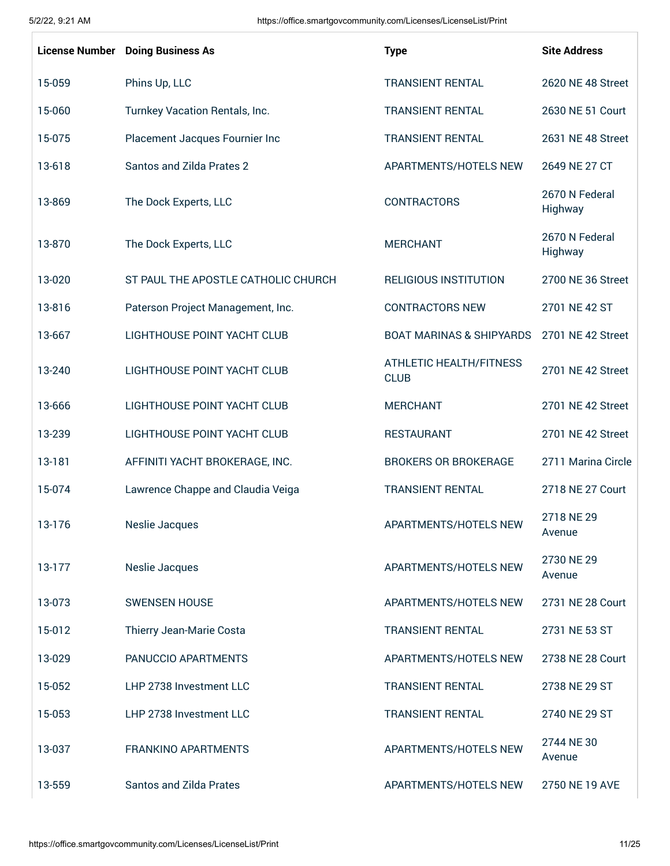|        | <b>License Number</b> Doing Business As | <b>Type</b>                                   | <b>Site Address</b>       |
|--------|-----------------------------------------|-----------------------------------------------|---------------------------|
| 15-059 | Phins Up, LLC                           | <b>TRANSIENT RENTAL</b>                       | 2620 NE 48 Street         |
| 15-060 | Turnkey Vacation Rentals, Inc.          | <b>TRANSIENT RENTAL</b>                       | 2630 NE 51 Court          |
| 15-075 | Placement Jacques Fournier Inc          | <b>TRANSIENT RENTAL</b>                       | 2631 NE 48 Street         |
| 13-618 | <b>Santos and Zilda Prates 2</b>        | APARTMENTS/HOTELS NEW                         | 2649 NE 27 CT             |
| 13-869 | The Dock Experts, LLC                   | <b>CONTRACTORS</b>                            | 2670 N Federal<br>Highway |
| 13-870 | The Dock Experts, LLC                   | <b>MERCHANT</b>                               | 2670 N Federal<br>Highway |
| 13-020 | ST PAUL THE APOSTLE CATHOLIC CHURCH     | <b>RELIGIOUS INSTITUTION</b>                  | 2700 NE 36 Street         |
| 13-816 | Paterson Project Management, Inc.       | <b>CONTRACTORS NEW</b>                        | 2701 NE 42 ST             |
| 13-667 | LIGHTHOUSE POINT YACHT CLUB             | <b>BOAT MARINAS &amp; SHIPYARDS</b>           | 2701 NE 42 Street         |
| 13-240 | LIGHTHOUSE POINT YACHT CLUB             | <b>ATHLETIC HEALTH/FITNESS</b><br><b>CLUB</b> | 2701 NE 42 Street         |
| 13-666 | LIGHTHOUSE POINT YACHT CLUB             | <b>MERCHANT</b>                               | 2701 NE 42 Street         |
| 13-239 | LIGHTHOUSE POINT YACHT CLUB             | <b>RESTAURANT</b>                             | 2701 NE 42 Street         |
| 13-181 | AFFINITI YACHT BROKERAGE, INC.          | <b>BROKERS OR BROKERAGE</b>                   | 2711 Marina Circle        |
| 15-074 | Lawrence Chappe and Claudia Veiga       | <b>TRANSIENT RENTAL</b>                       | 2718 NE 27 Court          |
| 13-176 | Neslie Jacques                          | APARTMENTS/HOTELS NEW                         | 2718 NE 29<br>Avenue      |
| 13-177 | Neslie Jacques                          | APARTMENTS/HOTELS NEW                         | 2730 NE 29<br>Avenue      |
| 13-073 | <b>SWENSEN HOUSE</b>                    | APARTMENTS/HOTELS NEW                         | 2731 NE 28 Court          |
| 15-012 | Thierry Jean-Marie Costa                | <b>TRANSIENT RENTAL</b>                       | 2731 NE 53 ST             |
| 13-029 | PANUCCIO APARTMENTS                     | APARTMENTS/HOTELS NEW                         | 2738 NE 28 Court          |
| 15-052 | LHP 2738 Investment LLC                 | <b>TRANSIENT RENTAL</b>                       | 2738 NE 29 ST             |
| 15-053 | LHP 2738 Investment LLC                 | <b>TRANSIENT RENTAL</b>                       | 2740 NE 29 ST             |
| 13-037 | <b>FRANKINO APARTMENTS</b>              | APARTMENTS/HOTELS NEW                         | 2744 NE 30<br>Avenue      |
| 13-559 | <b>Santos and Zilda Prates</b>          | APARTMENTS/HOTELS NEW                         | 2750 NE 19 AVE            |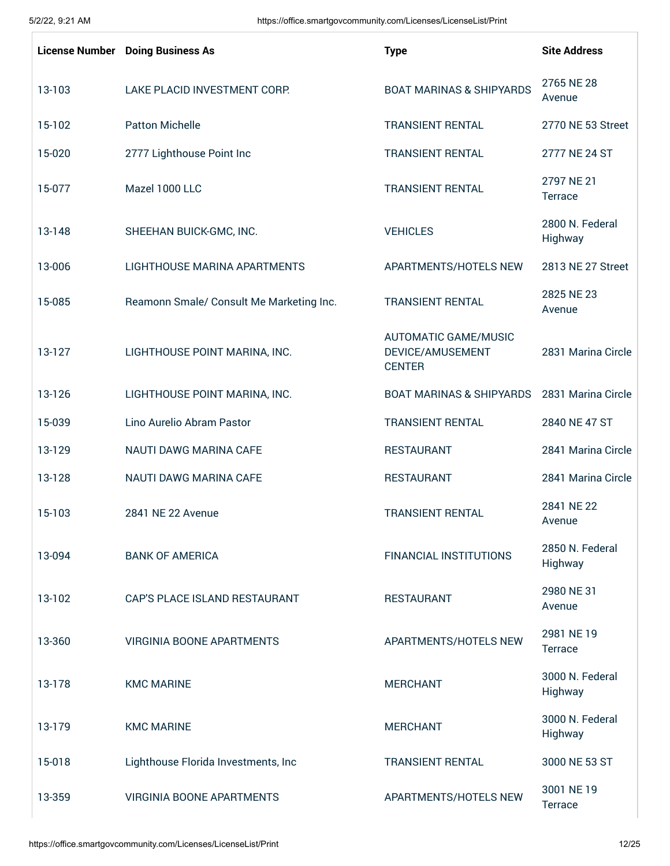|        | <b>License Number</b> Doing Business As  | <b>Type</b>                                                      | <b>Site Address</b>          |
|--------|------------------------------------------|------------------------------------------------------------------|------------------------------|
| 13-103 | LAKE PLACID INVESTMENT CORP.             | <b>BOAT MARINAS &amp; SHIPYARDS</b>                              | 2765 NE 28<br>Avenue         |
| 15-102 | <b>Patton Michelle</b>                   | <b>TRANSIENT RENTAL</b>                                          | 2770 NE 53 Street            |
| 15-020 | 2777 Lighthouse Point Inc                | <b>TRANSIENT RENTAL</b>                                          | 2777 NE 24 ST                |
| 15-077 | Mazel 1000 LLC                           | <b>TRANSIENT RENTAL</b>                                          | 2797 NE 21<br>Terrace        |
| 13-148 | SHEEHAN BUICK-GMC, INC.                  | <b>VEHICLES</b>                                                  | 2800 N. Federal<br>Highway   |
| 13-006 | LIGHTHOUSE MARINA APARTMENTS             | APARTMENTS/HOTELS NEW                                            | 2813 NE 27 Street            |
| 15-085 | Reamonn Smale/ Consult Me Marketing Inc. | <b>TRANSIENT RENTAL</b>                                          | 2825 NE 23<br>Avenue         |
| 13-127 | LIGHTHOUSE POINT MARINA, INC.            | <b>AUTOMATIC GAME/MUSIC</b><br>DEVICE/AMUSEMENT<br><b>CENTER</b> | 2831 Marina Circle           |
| 13-126 | LIGHTHOUSE POINT MARINA, INC.            | <b>BOAT MARINAS &amp; SHIPYARDS</b>                              | 2831 Marina Circle           |
| 15-039 | Lino Aurelio Abram Pastor                | <b>TRANSIENT RENTAL</b>                                          | 2840 NE 47 ST                |
| 13-129 | NAUTI DAWG MARINA CAFE                   | <b>RESTAURANT</b>                                                | 2841 Marina Circle           |
| 13-128 | NAUTI DAWG MARINA CAFE                   | <b>RESTAURANT</b>                                                | 2841 Marina Circle           |
| 15-103 | 2841 NE 22 Avenue                        | <b>TRANSIENT RENTAL</b>                                          | 2841 NE 22<br>Avenue         |
| 13-094 | <b>BANK OF AMERICA</b>                   | <b>FINANCIAL INSTITUTIONS</b>                                    | 2850 N. Federal<br>Highway   |
| 13-102 | <b>CAP'S PLACE ISLAND RESTAURANT</b>     | <b>RESTAURANT</b>                                                | 2980 NE 31<br>Avenue         |
| 13-360 | <b>VIRGINIA BOONE APARTMENTS</b>         | APARTMENTS/HOTELS NEW                                            | 2981 NE 19<br><b>Terrace</b> |
| 13-178 | <b>KMC MARINE</b>                        | <b>MERCHANT</b>                                                  | 3000 N. Federal<br>Highway   |
| 13-179 | <b>KMC MARINE</b>                        | <b>MERCHANT</b>                                                  | 3000 N. Federal<br>Highway   |
| 15-018 | Lighthouse Florida Investments, Inc.     | <b>TRANSIENT RENTAL</b>                                          | 3000 NE 53 ST                |
| 13-359 | <b>VIRGINIA BOONE APARTMENTS</b>         | APARTMENTS/HOTELS NEW                                            | 3001 NE 19<br><b>Terrace</b> |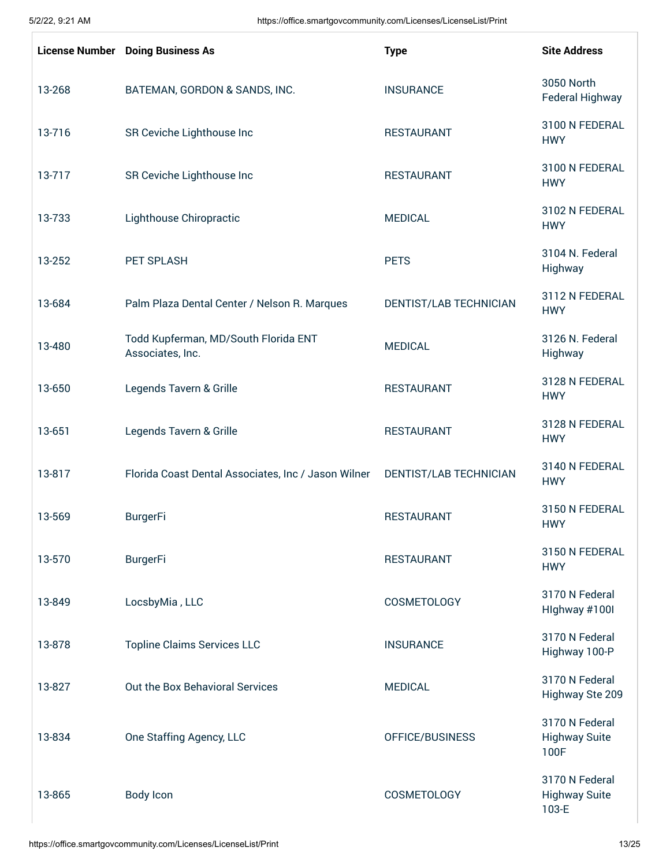|        | <b>License Number</b> Doing Business As                  | <b>Type</b>            | <b>Site Address</b>                             |
|--------|----------------------------------------------------------|------------------------|-------------------------------------------------|
| 13-268 | BATEMAN, GORDON & SANDS, INC.                            | <b>INSURANCE</b>       | 3050 North<br>Federal Highway                   |
| 13-716 | SR Ceviche Lighthouse Inc                                | <b>RESTAURANT</b>      | 3100 N FEDERAL<br><b>HWY</b>                    |
| 13-717 | SR Ceviche Lighthouse Inc                                | <b>RESTAURANT</b>      | 3100 N FEDERAL<br><b>HWY</b>                    |
| 13-733 | Lighthouse Chiropractic                                  | <b>MEDICAL</b>         | 3102 N FEDERAL<br><b>HWY</b>                    |
| 13-252 | PET SPLASH                                               | <b>PETS</b>            | 3104 N. Federal<br>Highway                      |
| 13-684 | Palm Plaza Dental Center / Nelson R. Marques             | DENTIST/LAB TECHNICIAN | 3112 N FEDERAL<br><b>HWY</b>                    |
| 13-480 | Todd Kupferman, MD/South Florida ENT<br>Associates, Inc. | <b>MEDICAL</b>         | 3126 N. Federal<br>Highway                      |
| 13-650 | Legends Tavern & Grille                                  | <b>RESTAURANT</b>      | 3128 N FEDERAL<br><b>HWY</b>                    |
| 13-651 | Legends Tavern & Grille                                  | <b>RESTAURANT</b>      | 3128 N FEDERAL<br><b>HWY</b>                    |
| 13-817 | Florida Coast Dental Associates, Inc / Jason Wilner      | DENTIST/LAB TECHNICIAN | 3140 N FEDERAL<br><b>HWY</b>                    |
| 13-569 | <b>BurgerFi</b>                                          | <b>RESTAURANT</b>      | 3150 N FEDERAL<br><b>HWY</b>                    |
| 13-570 | <b>BurgerFi</b>                                          | <b>RESTAURANT</b>      | 3150 N FEDERAL<br><b>HWY</b>                    |
| 13-849 | LocsbyMia, LLC                                           | COSMETOLOGY            | 3170 N Federal<br>Highway #100I                 |
| 13-878 | <b>Topline Claims Services LLC</b>                       | <b>INSURANCE</b>       | 3170 N Federal<br>Highway 100-P                 |
| 13-827 | Out the Box Behavioral Services                          | <b>MEDICAL</b>         | 3170 N Federal<br>Highway Ste 209               |
| 13-834 | One Staffing Agency, LLC                                 | OFFICE/BUSINESS        | 3170 N Federal<br><b>Highway Suite</b><br>100F  |
| 13-865 | <b>Body Icon</b>                                         | <b>COSMETOLOGY</b>     | 3170 N Federal<br><b>Highway Suite</b><br>103-E |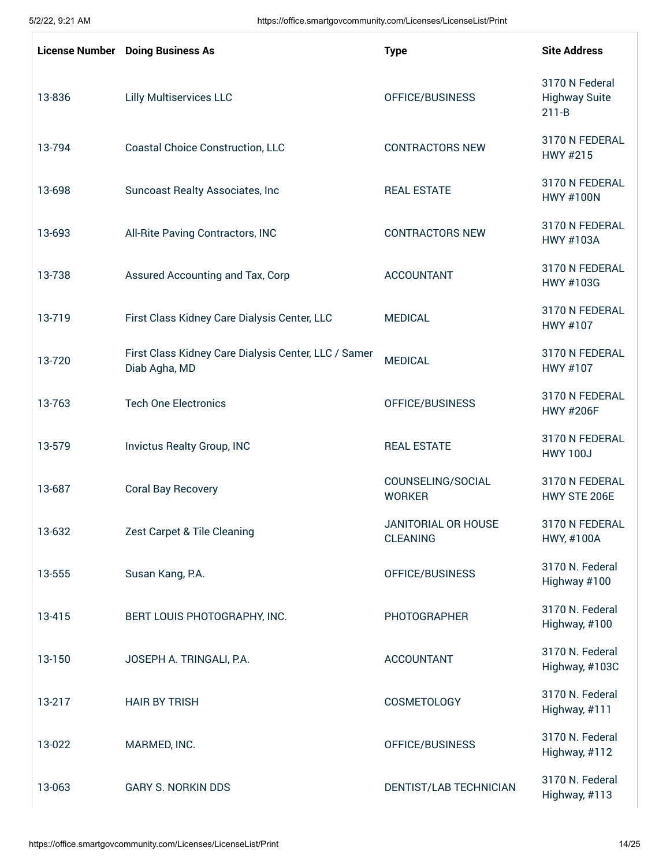|        | <b>License Number</b> Doing Business As                               | <b>Type</b>                            | <b>Site Address</b>                                 |
|--------|-----------------------------------------------------------------------|----------------------------------------|-----------------------------------------------------|
| 13-836 | <b>Lilly Multiservices LLC</b>                                        | OFFICE/BUSINESS                        | 3170 N Federal<br><b>Highway Suite</b><br>$211 - B$ |
| 13-794 | <b>Coastal Choice Construction, LLC</b>                               | <b>CONTRACTORS NEW</b>                 | 3170 N FEDERAL<br>HWY #215                          |
| 13-698 | Suncoast Realty Associates, Inc                                       | <b>REAL ESTATE</b>                     | 3170 N FEDERAL<br><b>HWY #100N</b>                  |
| 13-693 | All-Rite Paving Contractors, INC                                      | <b>CONTRACTORS NEW</b>                 | 3170 N FEDERAL<br><b>HWY #103A</b>                  |
| 13-738 | Assured Accounting and Tax, Corp                                      | <b>ACCOUNTANT</b>                      | 3170 N FEDERAL<br>HWY #103G                         |
| 13-719 | First Class Kidney Care Dialysis Center, LLC                          | <b>MEDICAL</b>                         | 3170 N FEDERAL<br>HWY #107                          |
| 13-720 | First Class Kidney Care Dialysis Center, LLC / Samer<br>Diab Agha, MD | <b>MEDICAL</b>                         | 3170 N FEDERAL<br>HWY #107                          |
| 13-763 | <b>Tech One Electronics</b>                                           | OFFICE/BUSINESS                        | 3170 N FEDERAL<br><b>HWY #206F</b>                  |
| 13-579 | Invictus Realty Group, INC                                            | <b>REAL ESTATE</b>                     | 3170 N FEDERAL<br><b>HWY 100J</b>                   |
| 13-687 | <b>Coral Bay Recovery</b>                                             | COUNSELING/SOCIAL<br><b>WORKER</b>     | 3170 N FEDERAL<br>HWY STE 206E                      |
| 13-632 | Zest Carpet & Tile Cleaning                                           | JANITORIAL OR HOUSE<br><b>CLEANING</b> | 3170 N FFDFRAL<br>HWY, #100A                        |
| 13-555 | Susan Kang, P.A.                                                      | OFFICE/BUSINESS                        | 3170 N. Federal<br>Highway #100                     |
| 13-415 | BERT LOUIS PHOTOGRAPHY, INC.                                          | <b>PHOTOGRAPHER</b>                    | 3170 N. Federal<br>Highway, #100                    |
| 13-150 | JOSEPH A. TRINGALI, P.A.                                              | <b>ACCOUNTANT</b>                      | 3170 N. Federal<br>Highway, #103C                   |
| 13-217 | <b>HAIR BY TRISH</b>                                                  | COSMETOLOGY                            | 3170 N. Federal<br>Highway, #111                    |
| 13-022 | MARMED, INC.                                                          | OFFICE/BUSINESS                        | 3170 N. Federal<br>Highway, #112                    |
| 13-063 | <b>GARY S. NORKIN DDS</b>                                             | DENTIST/LAB TECHNICIAN                 | 3170 N. Federal<br>Highway, #113                    |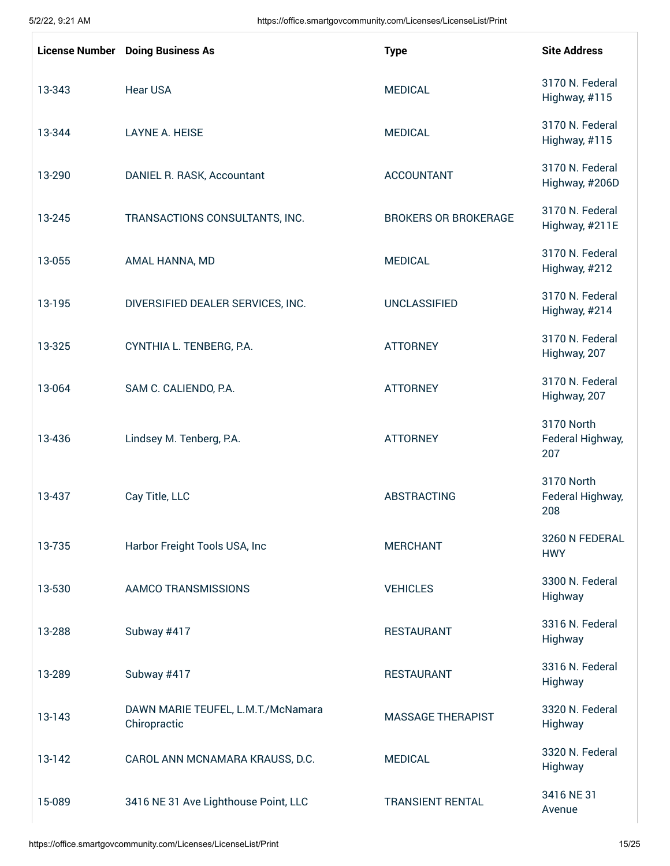|        | <b>License Number</b> Doing Business As            | <b>Type</b>                 | <b>Site Address</b>                   |
|--------|----------------------------------------------------|-----------------------------|---------------------------------------|
| 13-343 | <b>Hear USA</b>                                    | <b>MEDICAL</b>              | 3170 N. Federal<br>Highway, #115      |
| 13-344 | <b>LAYNE A. HEISE</b>                              | <b>MEDICAL</b>              | 3170 N. Federal<br>Highway, #115      |
| 13-290 | DANIEL R. RASK, Accountant                         | <b>ACCOUNTANT</b>           | 3170 N. Federal<br>Highway, #206D     |
| 13-245 | TRANSACTIONS CONSULTANTS, INC.                     | <b>BROKERS OR BROKERAGE</b> | 3170 N. Federal<br>Highway, #211E     |
| 13-055 | AMAL HANNA, MD                                     | <b>MEDICAL</b>              | 3170 N. Federal<br>Highway, #212      |
| 13-195 | DIVERSIFIED DEALER SERVICES, INC.                  | <b>UNCLASSIFIED</b>         | 3170 N. Federal<br>Highway, #214      |
| 13-325 | CYNTHIA L. TENBERG, P.A.                           | <b>ATTORNEY</b>             | 3170 N. Federal<br>Highway, 207       |
| 13-064 | SAM C. CALIENDO, P.A.                              | <b>ATTORNEY</b>             | 3170 N. Federal<br>Highway, 207       |
| 13-436 | Lindsey M. Tenberg, P.A.                           | <b>ATTORNEY</b>             | 3170 North<br>Federal Highway,<br>207 |
| 13-437 | Cay Title, LLC                                     | <b>ABSTRACTING</b>          | 3170 North<br>Federal Highway,<br>208 |
| 13-735 | Harbor Freight Tools USA, Inc                      | <b>MERCHANT</b>             | 3260 N FEDERAL<br><b>HWY</b>          |
| 13-530 | AAMCO TRANSMISSIONS                                | <b>VEHICLES</b>             | 3300 N. Federal<br>Highway            |
| 13-288 | Subway #417                                        | <b>RESTAURANT</b>           | 3316 N. Federal<br>Highway            |
| 13-289 | Subway #417                                        | <b>RESTAURANT</b>           | 3316 N. Federal<br>Highway            |
| 13-143 | DAWN MARIE TEUFEL, L.M.T./McNamara<br>Chiropractic | <b>MASSAGE THERAPIST</b>    | 3320 N. Federal<br>Highway            |
| 13-142 | CAROL ANN MCNAMARA KRAUSS, D.C.                    | <b>MEDICAL</b>              | 3320 N. Federal<br>Highway            |
| 15-089 | 3416 NE 31 Ave Lighthouse Point, LLC               | <b>TRANSIENT RENTAL</b>     | 3416 NE 31<br>Avenue                  |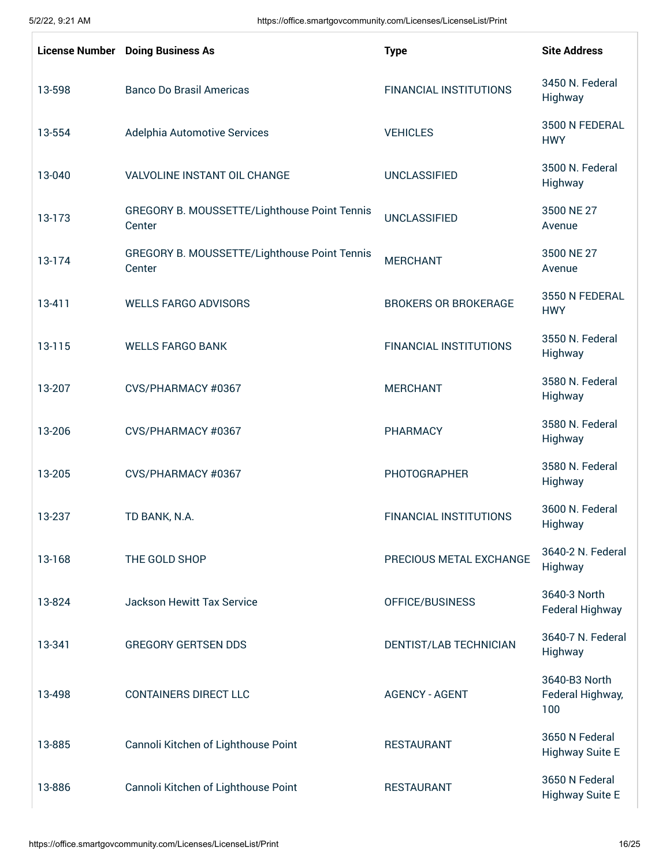|        | <b>License Number</b> Doing Business As                | <b>Type</b>                   | <b>Site Address</b>                      |
|--------|--------------------------------------------------------|-------------------------------|------------------------------------------|
| 13-598 | <b>Banco Do Brasil Americas</b>                        | <b>FINANCIAL INSTITUTIONS</b> | 3450 N. Federal<br>Highway               |
| 13-554 | Adelphia Automotive Services                           | <b>VEHICLES</b>               | 3500 N FEDERAL<br><b>HWY</b>             |
| 13-040 | VALVOLINE INSTANT OIL CHANGE                           | <b>UNCLASSIFIED</b>           | 3500 N. Federal<br>Highway               |
| 13-173 | GREGORY B. MOUSSETTE/Lighthouse Point Tennis<br>Center | <b>UNCLASSIFIED</b>           | 3500 NE 27<br>Avenue                     |
| 13-174 | GREGORY B. MOUSSETTE/Lighthouse Point Tennis<br>Center | <b>MERCHANT</b>               | 3500 NE 27<br>Avenue                     |
| 13-411 | <b>WELLS FARGO ADVISORS</b>                            | <b>BROKERS OR BROKERAGE</b>   | 3550 N FEDERAL<br><b>HWY</b>             |
| 13-115 | <b>WELLS FARGO BANK</b>                                | <b>FINANCIAL INSTITUTIONS</b> | 3550 N. Federal<br>Highway               |
| 13-207 | CVS/PHARMACY #0367                                     | <b>MERCHANT</b>               | 3580 N. Federal<br>Highway               |
| 13-206 | CVS/PHARMACY #0367                                     | PHARMACY                      | 3580 N. Federal<br>Highway               |
| 13-205 | CVS/PHARMACY #0367                                     | <b>PHOTOGRAPHER</b>           | 3580 N. Federal<br>Highway               |
| 13-237 | TD BANK, N.A.                                          | <b>FINANCIAL INSTITUTIONS</b> | 3600 N. Federal<br>Highway               |
| 13-168 | THE GOLD SHOP                                          | PRECIOUS METAL EXCHANGE       | 3640-2 N. Federal<br>Highway             |
| 13-824 | <b>Jackson Hewitt Tax Service</b>                      | OFFICE/BUSINESS               | 3640-3 North<br><b>Federal Highway</b>   |
| 13-341 | <b>GREGORY GERTSEN DDS</b>                             | DENTIST/LAB TECHNICIAN        | 3640-7 N. Federal<br>Highway             |
| 13-498 | <b>CONTAINERS DIRECT LLC</b>                           | <b>AGENCY - AGENT</b>         | 3640-B3 North<br>Federal Highway,<br>100 |
| 13-885 | Cannoli Kitchen of Lighthouse Point                    | <b>RESTAURANT</b>             | 3650 N Federal<br><b>Highway Suite E</b> |
| 13-886 | Cannoli Kitchen of Lighthouse Point                    | <b>RESTAURANT</b>             | 3650 N Federal<br><b>Highway Suite E</b> |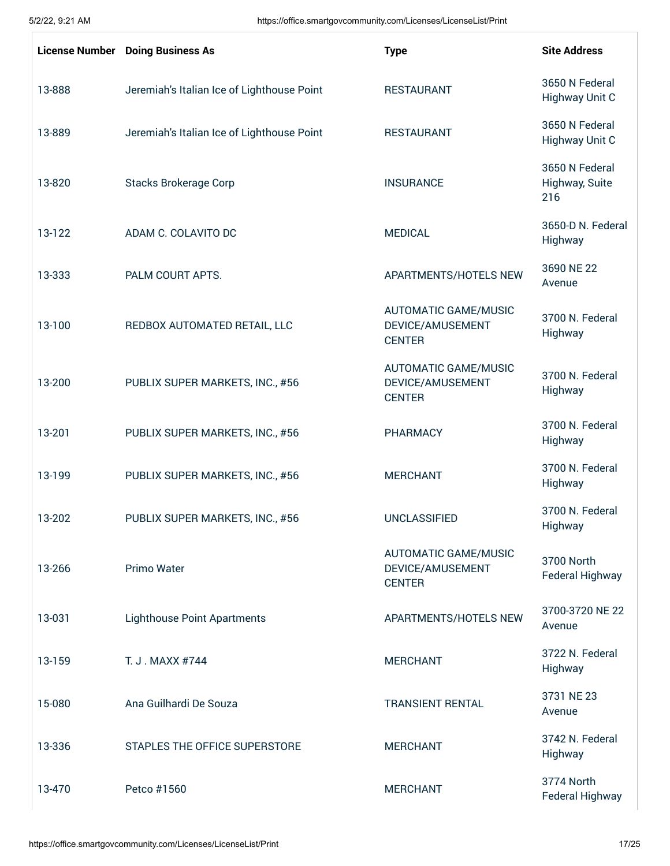|        | <b>License Number</b> Doing Business As    | <b>Type</b>                                                      | <b>Site Address</b>                     |
|--------|--------------------------------------------|------------------------------------------------------------------|-----------------------------------------|
| 13-888 | Jeremiah's Italian Ice of Lighthouse Point | <b>RESTAURANT</b>                                                | 3650 N Federal<br><b>Highway Unit C</b> |
| 13-889 | Jeremiah's Italian Ice of Lighthouse Point | <b>RESTAURANT</b>                                                | 3650 N Federal<br><b>Highway Unit C</b> |
| 13-820 | <b>Stacks Brokerage Corp</b>               | <b>INSURANCE</b>                                                 | 3650 N Federal<br>Highway, Suite<br>216 |
| 13-122 | ADAM C. COLAVITO DC                        | <b>MEDICAL</b>                                                   | 3650-D N. Federal<br>Highway            |
| 13-333 | PALM COURT APTS.                           | APARTMENTS/HOTELS NEW                                            | 3690 NE 22<br>Avenue                    |
| 13-100 | REDBOX AUTOMATED RETAIL, LLC               | <b>AUTOMATIC GAME/MUSIC</b><br>DEVICE/AMUSEMENT<br><b>CENTER</b> | 3700 N. Federal<br>Highway              |
| 13-200 | PUBLIX SUPER MARKETS, INC., #56            | <b>AUTOMATIC GAME/MUSIC</b><br>DEVICE/AMUSEMENT<br><b>CENTER</b> | 3700 N. Federal<br>Highway              |
| 13-201 | PUBLIX SUPER MARKETS, INC., #56            | <b>PHARMACY</b>                                                  | 3700 N. Federal<br>Highway              |
| 13-199 | PUBLIX SUPER MARKETS, INC., #56            | <b>MERCHANT</b>                                                  | 3700 N. Federal<br>Highway              |
| 13-202 | PUBLIX SUPER MARKETS, INC., #56            | <b>UNCLASSIFIED</b>                                              | 3700 N. Federal<br>Highway              |
| 13-266 | <b>Primo Water</b>                         | <b>AUTOMATIC GAME/MUSIC</b><br>DEVICE/AMUSEMENT<br><b>CENTER</b> | 3700 North<br><b>Federal Highway</b>    |
| 13-031 | <b>Lighthouse Point Apartments</b>         | APARTMENTS/HOTELS NEW                                            | 3700-3720 NE 22<br>Avenue               |
| 13-159 | T. J. MAXX #744                            | <b>MERCHANT</b>                                                  | 3722 N. Federal<br>Highway              |
| 15-080 | Ana Guilhardi De Souza                     | <b>TRANSIENT RENTAL</b>                                          | 3731 NE 23<br>Avenue                    |
| 13-336 | STAPLES THE OFFICE SUPERSTORE              | <b>MERCHANT</b>                                                  | 3742 N. Federal<br>Highway              |
| 13-470 | Petco #1560                                | <b>MERCHANT</b>                                                  | 3774 North<br>Federal Highway           |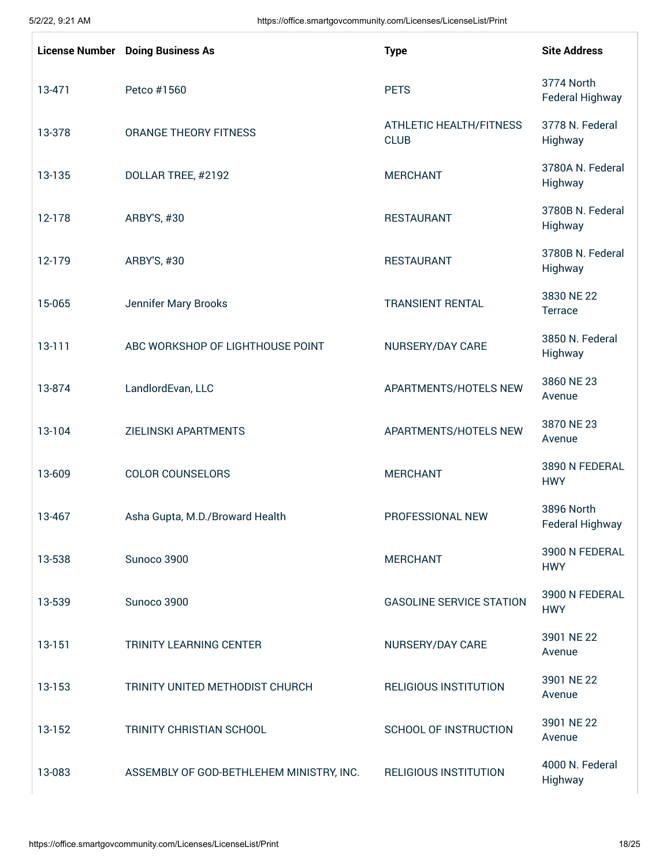|            | <b>License Number</b> Doing Business As  | <b>Type</b>                                   | <b>Site Address</b>                  |
|------------|------------------------------------------|-----------------------------------------------|--------------------------------------|
| 13-471     | Petco #1560                              | <b>PETS</b>                                   | 3774 North<br><b>Federal Highway</b> |
| 13-378     | ORANGE THEORY FITNESS                    | <b>ATHLETIC HEALTH/FITNESS</b><br><b>CLUB</b> | 3778 N. Federal<br>Highway           |
| 13-135     | DOLLAR TREE, #2192                       | <b>MERCHANT</b>                               | 3780A N. Federal<br>Highway          |
| 12-178     | ARBY'S, #30                              | <b>RESTAURANT</b>                             | 3780B N. Federal<br>Highway          |
| 12-179     | ARBY'S, #30                              | <b>RESTAURANT</b>                             | 3780B N. Federal<br>Highway          |
| 15-065     | Jennifer Mary Brooks                     | <b>TRANSIENT RENTAL</b>                       | 3830 NE 22<br>Terrace                |
| $13 - 111$ | ABC WORKSHOP OF LIGHTHOUSE POINT         | NURSERY/DAY CARE                              | 3850 N. Federal<br>Highway           |
| 13-874     | LandlordEvan, LLC                        | APARTMENTS/HOTELS NEW                         | 3860 NE 23<br>Avenue                 |
| 13-104     | <b>ZIELINSKI APARTMENTS</b>              | APARTMENTS/HOTELS NEW                         | 3870 NE 23<br>Avenue                 |
| 13-609     | <b>COLOR COUNSELORS</b>                  | <b>MERCHANT</b>                               | 3890 N FEDERAL<br><b>HWY</b>         |
| 13-467     | Asha Gupta, M.D./Broward Health          | PROFESSIONAL NEW                              | 3896 North<br>Federal Highway        |
| 13-538     | Sunoco 3900                              | <b>MERCHANT</b>                               | 3900 N FEDERAL<br><b>HWY</b>         |
| 13-539     | Sunoco 3900                              | <b>GASOLINE SERVICE STATION</b>               | 3900 N FEDERAL<br><b>HWY</b>         |
| 13-151     | <b>TRINITY LEARNING CENTER</b>           | NURSERY/DAY CARE                              | 3901 NE 22<br>Avenue                 |
| 13-153     | TRINITY UNITED METHODIST CHURCH          | <b>RELIGIOUS INSTITUTION</b>                  | 3901 NE 22<br>Avenue                 |
| 13-152     | TRINITY CHRISTIAN SCHOOL                 | SCHOOL OF INSTRUCTION                         | 3901 NE 22<br>Avenue                 |
| 13-083     | ASSEMBLY OF GOD-BETHLEHEM MINISTRY, INC. | <b>RELIGIOUS INSTITUTION</b>                  | 4000 N. Federal<br>Highway           |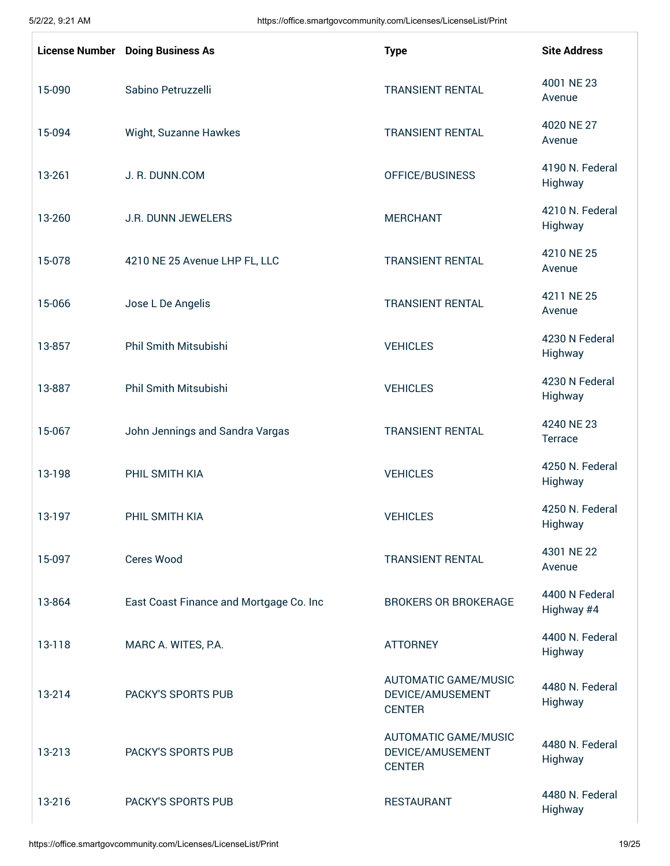|        | <b>License Number Doing Business As</b> | <b>Type</b>                                                      | <b>Site Address</b>          |
|--------|-----------------------------------------|------------------------------------------------------------------|------------------------------|
| 15-090 | Sabino Petruzzelli                      | <b>TRANSIENT RENTAL</b>                                          | 4001 NE 23<br>Avenue         |
| 15-094 | Wight, Suzanne Hawkes                   | <b>TRANSIENT RENTAL</b>                                          | 4020 NE 27<br>Avenue         |
| 13-261 | J. R. DUNN.COM                          | OFFICE/BUSINESS                                                  | 4190 N. Federal<br>Highway   |
| 13-260 | J.R. DUNN JEWELERS                      | <b>MERCHANT</b>                                                  | 4210 N. Federal<br>Highway   |
| 15-078 | 4210 NE 25 Avenue LHP FL, LLC           | <b>TRANSIENT RENTAL</b>                                          | 4210 NE 25<br>Avenue         |
| 15-066 | Jose L De Angelis                       | <b>TRANSIENT RENTAL</b>                                          | 4211 NE 25<br>Avenue         |
| 13-857 | <b>Phil Smith Mitsubishi</b>            | <b>VEHICLES</b>                                                  | 4230 N Federal<br>Highway    |
| 13-887 | Phil Smith Mitsubishi                   | <b>VEHICLES</b>                                                  | 4230 N Federal<br>Highway    |
| 15-067 | John Jennings and Sandra Vargas         | <b>TRANSIENT RENTAL</b>                                          | 4240 NE 23<br>Terrace        |
| 13-198 | PHIL SMITH KIA                          | <b>VEHICLES</b>                                                  | 4250 N. Federal<br>Highway   |
| 13-197 | PHIL SMITH KIA                          | <b>VEHICLES</b>                                                  | 4250 N. Federal<br>Highway   |
| 15-097 | <b>Ceres Wood</b>                       | <b>TRANSIENT RENTAL</b>                                          | 4301 NE 22<br>Avenue         |
| 13-864 | East Coast Finance and Mortgage Co. Inc | <b>BROKERS OR BROKERAGE</b>                                      | 4400 N Federal<br>Highway #4 |
| 13-118 | MARC A. WITES, P.A.                     | <b>ATTORNEY</b>                                                  | 4400 N. Federal<br>Highway   |
| 13-214 | PACKY'S SPORTS PUB                      | <b>AUTOMATIC GAME/MUSIC</b><br>DEVICE/AMUSEMENT<br><b>CENTER</b> | 4480 N. Federal<br>Highway   |
| 13-213 | PACKY'S SPORTS PUB                      | <b>AUTOMATIC GAME/MUSIC</b><br>DEVICE/AMUSEMENT<br><b>CENTER</b> | 4480 N. Federal<br>Highway   |
| 13-216 | PACKY'S SPORTS PUB                      | <b>RESTAURANT</b>                                                | 4480 N. Federal<br>Highway   |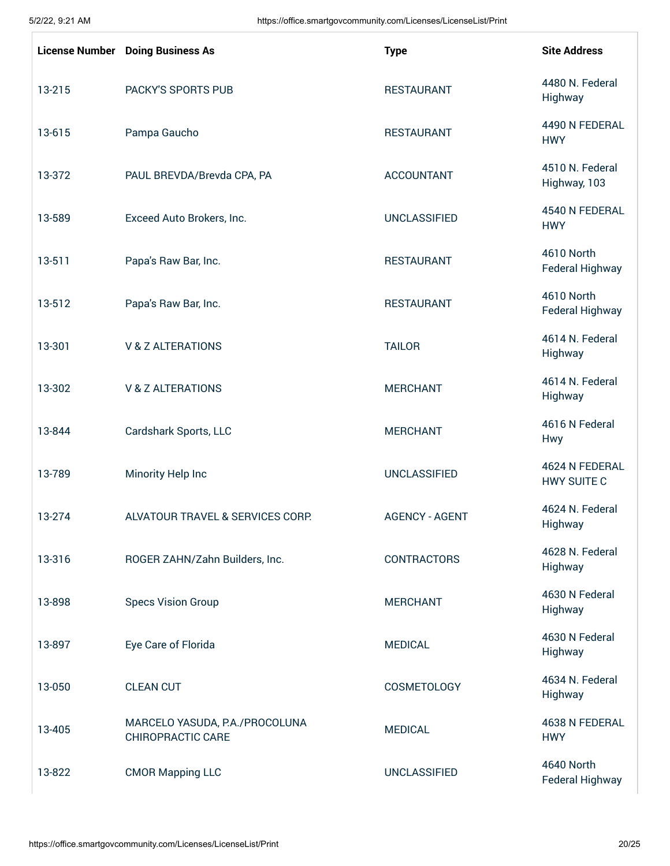|        | <b>License Number</b> Doing Business As                    | <b>Type</b>           | <b>Site Address</b>                  |
|--------|------------------------------------------------------------|-----------------------|--------------------------------------|
| 13-215 | PACKY'S SPORTS PUB                                         | <b>RESTAURANT</b>     | 4480 N. Federal<br>Highway           |
| 13-615 | Pampa Gaucho                                               | <b>RESTAURANT</b>     | 4490 N FEDERAL<br><b>HWY</b>         |
| 13-372 | PAUL BREVDA/Brevda CPA, PA                                 | <b>ACCOUNTANT</b>     | 4510 N. Federal<br>Highway, 103      |
| 13-589 | Exceed Auto Brokers, Inc.                                  | <b>UNCLASSIFIED</b>   | 4540 N FEDERAL<br><b>HWY</b>         |
| 13-511 | Papa's Raw Bar, Inc.                                       | <b>RESTAURANT</b>     | 4610 North<br>Federal Highway        |
| 13-512 | Papa's Raw Bar, Inc.                                       | <b>RESTAURANT</b>     | 4610 North<br>Federal Highway        |
| 13-301 | <b>V &amp; Z ALTERATIONS</b>                               | <b>TAILOR</b>         | 4614 N. Federal<br>Highway           |
| 13-302 | <b>V &amp; Z ALTERATIONS</b>                               | <b>MERCHANT</b>       | 4614 N. Federal<br>Highway           |
| 13-844 | Cardshark Sports, LLC                                      | <b>MERCHANT</b>       | 4616 N Federal<br><b>Hwy</b>         |
| 13-789 | Minority Help Inc                                          | <b>UNCLASSIFIED</b>   | 4624 N FEDERAL<br><b>HWY SUITE C</b> |
| 13-274 | ALVATOUR TRAVEL & SERVICES CORP.                           | <b>AGENCY - AGENT</b> | 4624 N. Federal<br>Highway           |
| 13-316 | ROGER ZAHN/Zahn Builders, Inc.                             | <b>CONTRACTORS</b>    | 4628 N. Federal<br>Highway           |
| 13-898 | <b>Specs Vision Group</b>                                  | <b>MERCHANT</b>       | 4630 N Federal<br>Highway            |
| 13-897 | Eye Care of Florida                                        | <b>MEDICAL</b>        | 4630 N Federal<br>Highway            |
| 13-050 | <b>CLEAN CUT</b>                                           | <b>COSMETOLOGY</b>    | 4634 N. Federal<br>Highway           |
| 13-405 | MARCELO YASUDA, P.A./PROCOLUNA<br><b>CHIROPRACTIC CARE</b> | <b>MEDICAL</b>        | 4638 N FEDERAL<br><b>HWY</b>         |
| 13-822 | <b>CMOR Mapping LLC</b>                                    | <b>UNCLASSIFIED</b>   | 4640 North<br>Federal Highway        |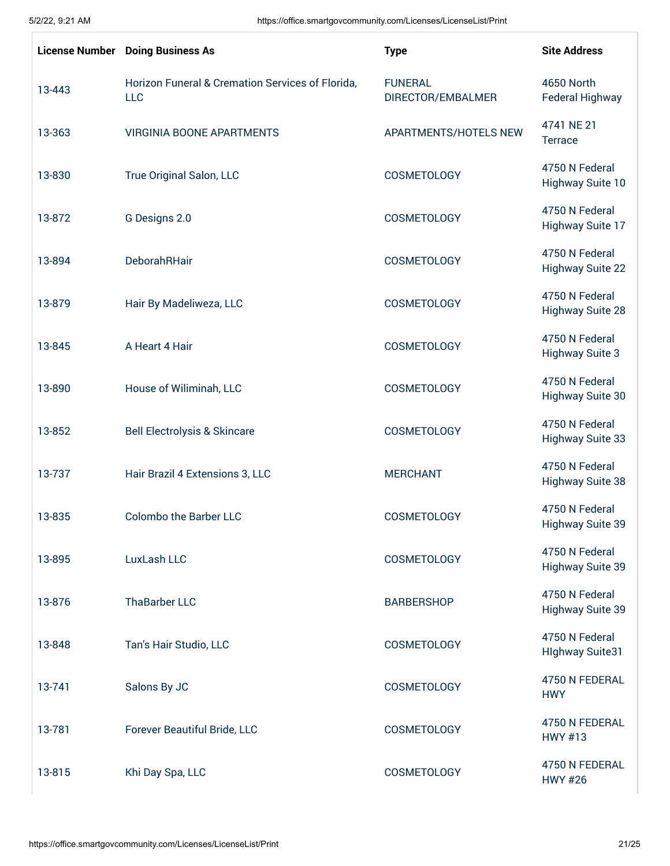|        | <b>License Number</b> Doing Business As                 | <b>Type</b>                         | <b>Site Address</b>                       |
|--------|---------------------------------------------------------|-------------------------------------|-------------------------------------------|
| 13-443 | Horizon Funeral & Cremation Services of Florida,<br>LLC | <b>FUNERAL</b><br>DIRECTOR/EMBALMER | 4650 North<br><b>Federal Highway</b>      |
| 13-363 | <b>VIRGINIA BOONE APARTMENTS</b>                        | APARTMENTS/HOTELS NEW               | 4741 NE 21<br>Terrace                     |
| 13-830 | True Original Salon, LLC                                | COSMETOLOGY                         | 4750 N Federal<br>Highway Suite 10        |
| 13-872 | G Designs 2.0                                           | COSMETOLOGY                         | 4750 N Federal<br>Highway Suite 17        |
| 13-894 | DeborahRHair                                            | <b>COSMETOLOGY</b>                  | 4750 N Federal<br><b>Highway Suite 22</b> |
| 13-879 | Hair By Madeliweza, LLC                                 | <b>COSMETOLOGY</b>                  | 4750 N Federal<br><b>Highway Suite 28</b> |
| 13-845 | A Heart 4 Hair                                          | COSMETOLOGY                         | 4750 N Federal<br><b>Highway Suite 3</b>  |
| 13-890 | House of Wiliminah, LLC                                 | <b>COSMETOLOGY</b>                  | 4750 N Federal<br><b>Highway Suite 30</b> |
| 13-852 | <b>Bell Electrolysis &amp; Skincare</b>                 | COSMETOLOGY                         | 4750 N Federal<br><b>Highway Suite 33</b> |
| 13-737 | Hair Brazil 4 Extensions 3, LLC                         | <b>MERCHANT</b>                     | 4750 N Federal<br><b>Highway Suite 38</b> |
| 13-835 | <b>Colombo the Barber LLC</b>                           | <b>COSMETOLOGY</b>                  | 4750 N Federal<br>Highway Suite 39        |
| 13-895 | LuxLash LLC                                             | <b>COSMETOLOGY</b>                  | 4750 N Federal<br>Highway Suite 39        |
| 13-876 | ThaBarber LLC                                           | <b>BARBERSHOP</b>                   | 4750 N Federal<br>Highway Suite 39        |
| 13-848 | Tan's Hair Studio, LLC                                  | COSMETOLOGY                         | 4750 N Federal<br><b>Hlghway Suite31</b>  |
| 13-741 | Salons By JC                                            | COSMETOLOGY                         | 4750 N FEDERAL<br><b>HWY</b>              |
| 13-781 | Forever Beautiful Bride, LLC                            | COSMETOLOGY                         | 4750 N FEDERAL<br><b>HWY #13</b>          |
| 13-815 | Khi Day Spa, LLC                                        | COSMETOLOGY                         | 4750 N FEDERAL<br><b>HWY #26</b>          |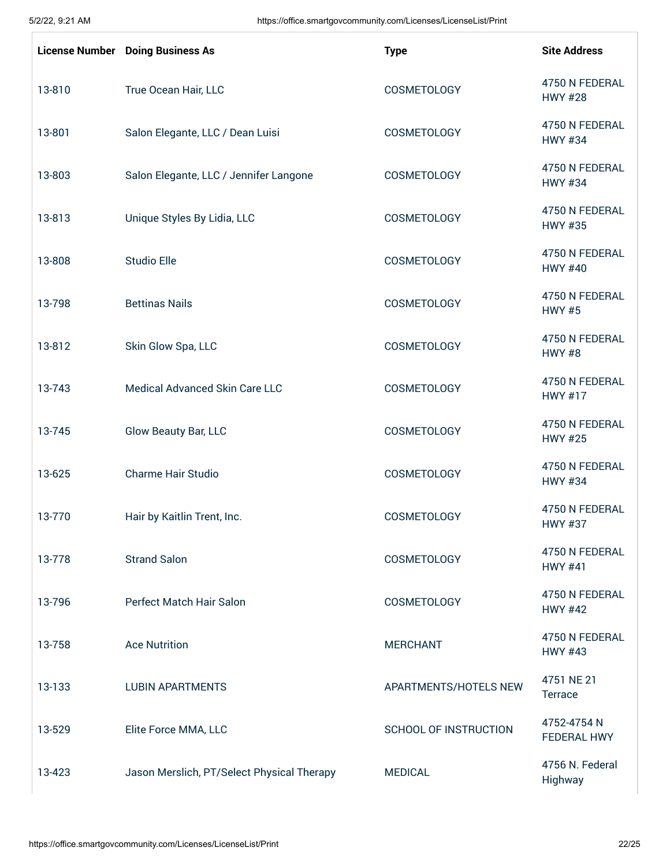|        | <b>License Number</b> Doing Business As    | <b>Type</b>                  | <b>Site Address</b>               |
|--------|--------------------------------------------|------------------------------|-----------------------------------|
| 13-810 | True Ocean Hair, LLC                       | COSMETOLOGY                  | 4750 N FEDERAL<br><b>HWY #28</b>  |
| 13-801 | Salon Elegante, LLC / Dean Luisi           | COSMETOLOGY                  | 4750 N FEDERAL<br><b>HWY #34</b>  |
| 13-803 | Salon Elegante, LLC / Jennifer Langone     | COSMETOLOGY                  | 4750 N FEDERAL<br><b>HWY #34</b>  |
| 13-813 | Unique Styles By Lidia, LLC                | COSMETOLOGY                  | 4750 N FEDERAL<br><b>HWY #35</b>  |
| 13-808 | <b>Studio Elle</b>                         | COSMETOLOGY                  | 4750 N FEDERAL<br><b>HWY #40</b>  |
| 13-798 | <b>Bettinas Nails</b>                      | COSMETOLOGY                  | 4750 N FEDERAL<br><b>HWY #5</b>   |
| 13-812 | Skin Glow Spa, LLC                         | COSMETOLOGY                  | 4750 N FEDERAL<br><b>HWY #8</b>   |
| 13-743 | Medical Advanced Skin Care LLC             | COSMETOLOGY                  | 4750 N FEDERAL<br><b>HWY #17</b>  |
| 13-745 | Glow Beauty Bar, LLC                       | COSMETOLOGY                  | 4750 N FEDERAL<br><b>HWY #25</b>  |
| 13-625 | <b>Charme Hair Studio</b>                  | COSMETOLOGY                  | 4750 N FEDERAL<br><b>HWY #34</b>  |
| 13-770 | Hair by Kaitlin Trent, Inc.                | <b>COSMETOLOGY</b>           | 4750 N FEDERAL<br><b>HWY #37</b>  |
| 13-778 | <b>Strand Salon</b>                        | COSMETOLOGY                  | 4750 N FEDERAL<br><b>HWY #41</b>  |
| 13-796 | Perfect Match Hair Salon                   | COSMETOLOGY                  | 4750 N FEDERAL<br><b>HWY #42</b>  |
| 13-758 | <b>Ace Nutrition</b>                       | <b>MERCHANT</b>              | 4750 N FEDERAL<br><b>HWY #43</b>  |
| 13-133 | <b>LUBIN APARTMENTS</b>                    | APARTMENTS/HOTELS NEW        | 4751 NE 21<br>Terrace             |
| 13-529 | Elite Force MMA, LLC                       | <b>SCHOOL OF INSTRUCTION</b> | 4752-4754 N<br><b>FEDERAL HWY</b> |
| 13-423 | Jason Merslich, PT/Select Physical Therapy | <b>MEDICAL</b>               | 4756 N. Federal<br>Highway        |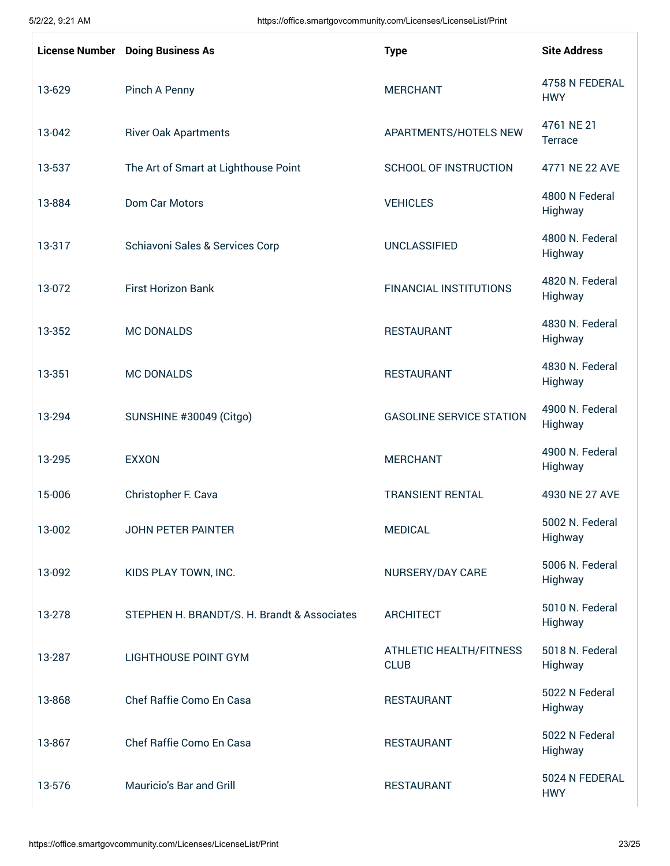|        | <b>License Number</b> Doing Business As     | <b>Type</b>                            | <b>Site Address</b>          |
|--------|---------------------------------------------|----------------------------------------|------------------------------|
| 13-629 | Pinch A Penny                               | <b>MERCHANT</b>                        | 4758 N FEDERAL<br><b>HWY</b> |
| 13-042 | <b>River Oak Apartments</b>                 | APARTMENTS/HOTELS NEW                  | 4761 NE 21<br>Terrace        |
| 13-537 | The Art of Smart at Lighthouse Point        | <b>SCHOOL OF INSTRUCTION</b>           | 4771 NE 22 AVE               |
| 13-884 | Dom Car Motors                              | <b>VEHICLES</b>                        | 4800 N Federal<br>Highway    |
| 13-317 | Schiavoni Sales & Services Corp             | <b>UNCLASSIFIED</b>                    | 4800 N. Federal<br>Highway   |
| 13-072 | <b>First Horizon Bank</b>                   | <b>FINANCIAL INSTITUTIONS</b>          | 4820 N. Federal<br>Highway   |
| 13-352 | <b>MC DONALDS</b>                           | <b>RESTAURANT</b>                      | 4830 N. Federal<br>Highway   |
| 13-351 | <b>MC DONALDS</b>                           | <b>RESTAURANT</b>                      | 4830 N. Federal<br>Highway   |
| 13-294 | SUNSHINE #30049 (Citgo)                     | <b>GASOLINE SERVICE STATION</b>        | 4900 N. Federal<br>Highway   |
| 13-295 | <b>EXXON</b>                                | <b>MERCHANT</b>                        | 4900 N. Federal<br>Highway   |
| 15-006 | Christopher F. Cava                         | <b>TRANSIENT RENTAL</b>                | 4930 NE 27 AVE               |
| 13-002 | <b>JOHN PETER PAINTER</b>                   | <b>MEDICAL</b>                         | 5002 N. Federal<br>Highway   |
| 13-092 | KIDS PLAY TOWN, INC.                        | NURSERY/DAY CARE                       | 5006 N. Federal<br>Highway   |
| 13-278 | STEPHEN H. BRANDT/S. H. Brandt & Associates | <b>ARCHITECT</b>                       | 5010 N. Federal<br>Highway   |
| 13-287 | <b>LIGHTHOUSE POINT GYM</b>                 | ATHLETIC HEALTH/FITNESS<br><b>CLUB</b> | 5018 N. Federal<br>Highway   |
| 13-868 | Chef Raffie Como En Casa                    | <b>RESTAURANT</b>                      | 5022 N Federal<br>Highway    |
| 13-867 | Chef Raffie Como En Casa                    | <b>RESTAURANT</b>                      | 5022 N Federal<br>Highway    |
| 13-576 | Mauricio's Bar and Grill                    | <b>RESTAURANT</b>                      | 5024 N FEDERAL<br><b>HWY</b> |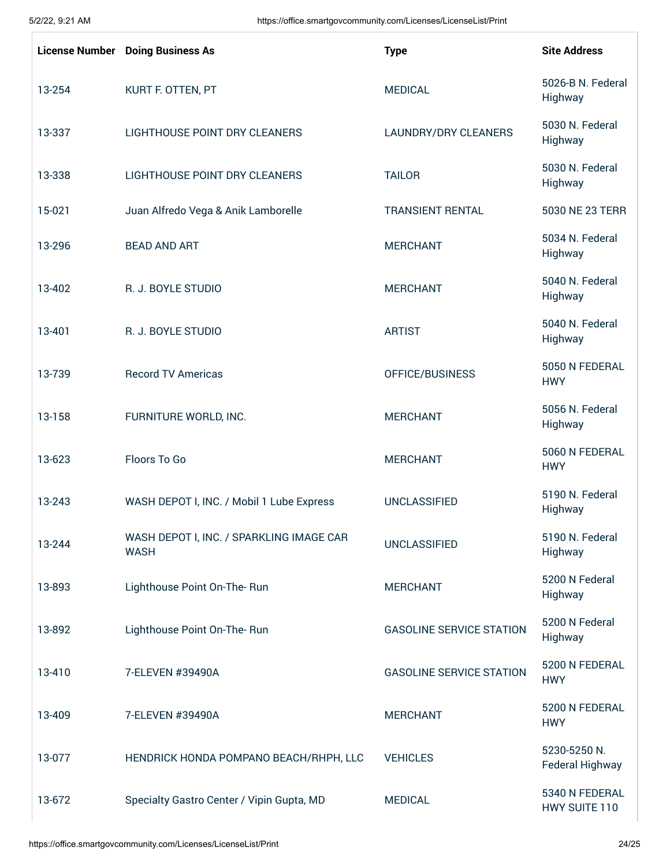|        | <b>License Number</b> Doing Business As                 | <b>Type</b>                     | <b>Site Address</b>             |
|--------|---------------------------------------------------------|---------------------------------|---------------------------------|
| 13-254 | KURT F. OTTEN, PT                                       | <b>MEDICAL</b>                  | 5026-B N. Federal<br>Highway    |
| 13-337 | LIGHTHOUSE POINT DRY CLEANERS                           | <b>LAUNDRY/DRY CLEANERS</b>     | 5030 N. Federal<br>Highway      |
| 13-338 | LIGHTHOUSE POINT DRY CLEANERS                           | <b>TAILOR</b>                   | 5030 N. Federal<br>Highway      |
| 15-021 | Juan Alfredo Vega & Anik Lamborelle                     | <b>TRANSIENT RENTAL</b>         | 5030 NE 23 TERR                 |
| 13-296 | <b>BEAD AND ART</b>                                     | <b>MERCHANT</b>                 | 5034 N. Federal<br>Highway      |
| 13-402 | R. J. BOYLE STUDIO                                      | <b>MERCHANT</b>                 | 5040 N. Federal<br>Highway      |
| 13-401 | R. J. BOYLE STUDIO                                      | <b>ARTIST</b>                   | 5040 N. Federal<br>Highway      |
| 13-739 | <b>Record TV Americas</b>                               | OFFICE/BUSINESS                 | 5050 N FEDERAL<br><b>HWY</b>    |
| 13-158 | FURNITURE WORLD, INC.                                   | <b>MERCHANT</b>                 | 5056 N. Federal<br>Highway      |
| 13-623 | Floors To Go                                            | <b>MERCHANT</b>                 | 5060 N FEDERAL<br><b>HWY</b>    |
| 13-243 | WASH DEPOT I, INC. / Mobil 1 Lube Express               | <b>UNCLASSIFIED</b>             | 5190 N. Federal<br>Highway      |
| 13-244 | WASH DEPOT I, INC. / SPARKLING IMAGE CAR<br><b>WASH</b> | <b>UNCLASSIFIED</b>             | 5190 N. Federal<br>Highway      |
| 13-893 | Lighthouse Point On-The-Run                             | <b>MERCHANT</b>                 | 5200 N Federal<br>Highway       |
| 13-892 | Lighthouse Point On-The-Run                             | <b>GASOLINE SERVICE STATION</b> | 5200 N Federal<br>Highway       |
| 13-410 | 7-ELEVEN #39490A                                        | <b>GASOLINE SERVICE STATION</b> | 5200 N FEDERAL<br><b>HWY</b>    |
| 13-409 | 7-ELEVEN #39490A                                        | <b>MERCHANT</b>                 | 5200 N FEDERAL<br><b>HWY</b>    |
| 13-077 | HENDRICK HONDA POMPANO BEACH/RHPH, LLC                  | <b>VEHICLES</b>                 | 5230-5250 N.<br>Federal Highway |
| 13-672 | Specialty Gastro Center / Vipin Gupta, MD               | <b>MEDICAL</b>                  | 5340 N FEDERAL<br>HWY SUITE 110 |